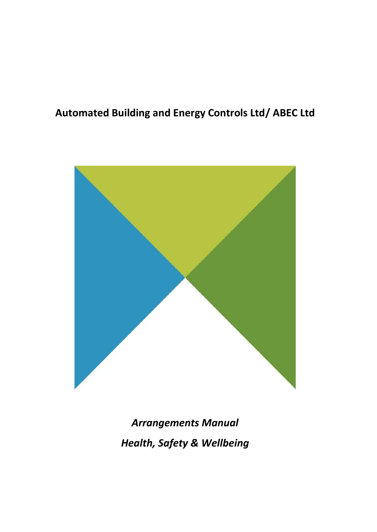# **Automated Building and Energy Controls Ltd/ ABEC Ltd**



*Arrangements Manual Health, Safety & Wellbeing*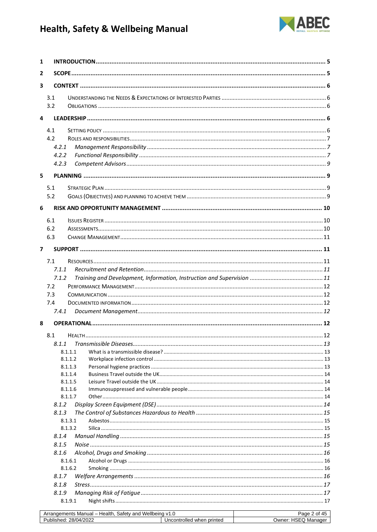# ABEC

| 1              |            |                    |  |
|----------------|------------|--------------------|--|
| $\mathbf{2}$   |            |                    |  |
| 3              |            |                    |  |
|                |            |                    |  |
|                | 3.1        |                    |  |
|                | 3.2        |                    |  |
| 4              |            |                    |  |
|                | 4.1        |                    |  |
|                | 4.2        |                    |  |
|                | 4.2.1      |                    |  |
|                | 4.2.2      |                    |  |
|                | 4.2.3      |                    |  |
| 5              |            |                    |  |
|                | 5.1        |                    |  |
|                | 5.2        |                    |  |
| 6              |            |                    |  |
|                |            |                    |  |
|                | 6.1<br>6.2 |                    |  |
|                | 6.3        |                    |  |
|                |            |                    |  |
| $\overline{7}$ |            |                    |  |
|                | 7.1        |                    |  |
|                | 7.1.1      |                    |  |
|                | 7.1.2      |                    |  |
|                | 7.2        |                    |  |
|                | 7.3        |                    |  |
|                | 7.4        |                    |  |
|                | 7.4.1      |                    |  |
| 8              |            |                    |  |
|                | 8.1        |                    |  |
|                | 8.1.1      |                    |  |
|                |            | 8.1.1.1            |  |
|                |            | 8.1.1.2            |  |
|                |            | 8.1.1.3<br>8.1.1.4 |  |
|                |            | 8.1.1.5            |  |
|                |            | 8.1.1.6            |  |
|                |            | 8.1.1.7            |  |
|                | 8.1.2      |                    |  |
|                | 8.1.3      |                    |  |
|                |            | 8.1.3.1            |  |
|                |            | 8.1.3.2            |  |
|                | 8.1.4      |                    |  |
|                | 8.1.5      |                    |  |
|                | 8.1.6      |                    |  |
|                |            | 8.1.6.1<br>8.1.6.2 |  |
|                | 8.1.7      |                    |  |
|                | 8.1.8      |                    |  |
|                | 8.1.9      |                    |  |
|                |            | 8.1.9.1            |  |
|                |            |                    |  |

| Wellbeing<br>Health.<br>.<br>and<br>ıements<br>Manual –<br>Safet'<br>aer<br>ור | 7.U                                              | ≙מפ<br>Οl<br>-auu         |
|--------------------------------------------------------------------------------|--------------------------------------------------|---------------------------|
| 28/<br>ublish<br>∆ו<br>sned<br>1022                                            | <b>controlled</b><br>printed<br>when<br>∵Jnconti | Jwner<br>۵Π۵<br>Mar<br>-- |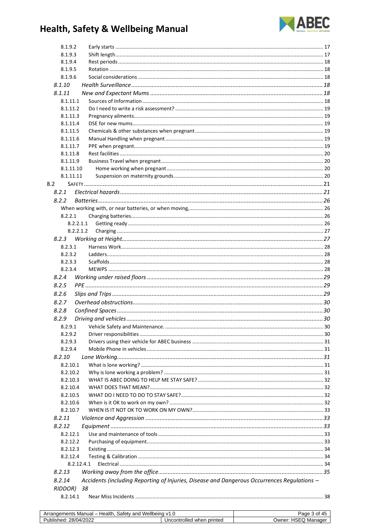

| 8.1.9.2   |                                                                                             |  |
|-----------|---------------------------------------------------------------------------------------------|--|
| 8.1.9.3   |                                                                                             |  |
| 8.1.9.4   |                                                                                             |  |
| 8.1.9.5   |                                                                                             |  |
| 8.1.9.6   |                                                                                             |  |
| 8.1.10    |                                                                                             |  |
| 8.1.11    |                                                                                             |  |
| 8.1.11.1  |                                                                                             |  |
| 8.1.11.2  |                                                                                             |  |
| 8.1.11.3  |                                                                                             |  |
| 8.1.11.4  |                                                                                             |  |
| 8.1.11.5  |                                                                                             |  |
| 8.1.11.6  |                                                                                             |  |
| 8.1.11.7  |                                                                                             |  |
| 8.1.11.8  |                                                                                             |  |
| 8.1.11.9  |                                                                                             |  |
| 8.1.11.10 |                                                                                             |  |
| 8.1.11.11 |                                                                                             |  |
| 8.2       |                                                                                             |  |
| 8.2.1     |                                                                                             |  |
| 8.2.2     |                                                                                             |  |
|           |                                                                                             |  |
| 8.2.2.1   |                                                                                             |  |
| 8.2.2.1.1 |                                                                                             |  |
| 8.2.2.1.2 |                                                                                             |  |
| 8.2.3     |                                                                                             |  |
| 8.2.3.1   |                                                                                             |  |
| 8.2.3.2   |                                                                                             |  |
| 8.2.3.3   |                                                                                             |  |
| 8.2.3.4   |                                                                                             |  |
| 8.2.4     |                                                                                             |  |
| 8.2.5     |                                                                                             |  |
|           |                                                                                             |  |
| 8.2.6     |                                                                                             |  |
| 8.2.7     |                                                                                             |  |
| 8.2.8     |                                                                                             |  |
| 8.2.9     |                                                                                             |  |
|           |                                                                                             |  |
| 8.2.9.2   |                                                                                             |  |
| 8.2.9.3   |                                                                                             |  |
| 8.2.9.4   |                                                                                             |  |
| 8.2.10    |                                                                                             |  |
| 8.2.10.1  |                                                                                             |  |
| 8.2.10.2  |                                                                                             |  |
| 8.2.10.3  |                                                                                             |  |
| 8.2.10.4  |                                                                                             |  |
| 8.2.10.5  |                                                                                             |  |
| 8.2.10.6  |                                                                                             |  |
| 8.2.10.7  |                                                                                             |  |
| 8.2.11    |                                                                                             |  |
| 8.2.12    |                                                                                             |  |
| 8.2.12.1  |                                                                                             |  |
| 8.2.12.2  |                                                                                             |  |
| 8.2.12.3  |                                                                                             |  |
|           |                                                                                             |  |
| 8.2.12.4  |                                                                                             |  |
|           | 8.2.12.4.1                                                                                  |  |
| 8.2.13    |                                                                                             |  |
| 8.2.14    | Accidents (including Reporting of Injuries, Disease and Dangerous Occurrences Regulations - |  |
| RIDDOR)   | 38                                                                                          |  |
| 8.2.14.1  |                                                                                             |  |

| Wellbeing<br>$\ddot{\phantom{a}}$<br>Health<br>Manual<br>۔atetyہ<br>-----<br>and<br>AI.<br>nents<br>-- | 1.V                                    | age^<br>3 Of                           |
|--------------------------------------------------------------------------------------------------------|----------------------------------------|----------------------------------------|
| 10000<br>28/04<br>'ublished:<br>۔ 2021 -                                                               | าtrolled<br>printed<br>wher<br>Uncontr | ⊃wner <sup>.</sup><br>15F<br><b>IV</b> |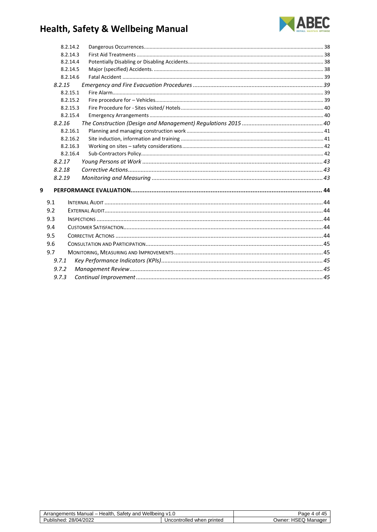

|   | 8.2.14.2 |  |
|---|----------|--|
|   | 8.2.14.3 |  |
|   | 8.2.14.4 |  |
|   | 8.2.14.5 |  |
|   | 8.2.14.6 |  |
|   | 8.2.15   |  |
|   | 8.2.15.1 |  |
|   | 8.2.15.2 |  |
|   | 8.2.15.3 |  |
|   | 8.2.15.4 |  |
|   | 8.2.16   |  |
|   | 8.2.16.1 |  |
|   | 8.2.16.2 |  |
|   | 8.2.16.3 |  |
|   | 8.2.16.4 |  |
|   | 8.2.17   |  |
|   | 8.2.18   |  |
|   | 8.2.19   |  |
| 9 |          |  |
|   | 9.1      |  |
|   | 9.2      |  |
|   | 9.3      |  |
|   | 9.4      |  |
|   | 9.5      |  |
|   | 9.6      |  |
|   | 9.7      |  |
|   | 9.7.1    |  |
|   | 9.7.2    |  |
|   | 9.7.3    |  |
|   |          |  |

| ' Wellbeing<br>-lealth.<br>aements<br>Manual –<br>Safet∨<br>anc.<br>Arranc | .<br>٦.υ                                          | Paαe<br>Οt<br>┱.           |
|----------------------------------------------------------------------------|---------------------------------------------------|----------------------------|
| <br>28/04/2022<br>Published:                                               | printed<br>$\sim$<br>wher<br>'ncontrollea'<br>JP. | HSEC.<br>⊃wner:<br>Manager |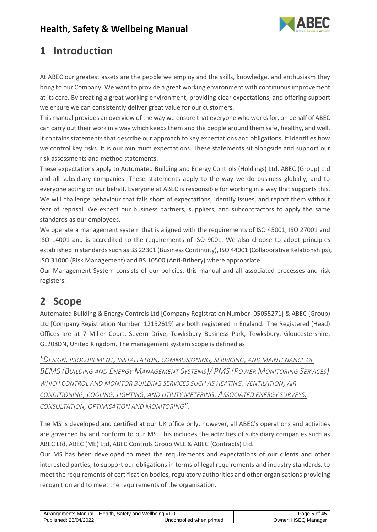

# <span id="page-4-0"></span>**1 Introduction**

At ABEC our greatest assets are the people we employ and the skills, knowledge, and enthusiasm they bring to our Company. We want to provide a great working environment with continuous improvement at its core. By creating a great working environment, providing clear expectations, and offering support we ensure we can consistently deliver great value for our customers.

This manual provides an overview of the way we ensure that everyone who works for, on behalf of ABEC can carry out their work in a way which keeps them and the people around them safe, healthy, and well. It contains statements that describe our approach to key expectations and obligations. It identifies how we control key risks. It is our minimum expectations. These statements sit alongside and support our risk assessments and method statements.

These expectations apply to Automated Building and Energy Controls (Holdings) Ltd, ABEC (Group) Ltd and all subsidiary companies. These statements apply to the way we do business globally, and to everyone acting on our behalf. Everyone at ABEC is responsible for working in a way that supports this. We will challenge behaviour that falls short of expectations, identify issues, and report them without fear of reprisal. We expect our business partners, suppliers, and subcontractors to apply the same standards as our employees.

We operate a management system that is aligned with the requirements of ISO 45001, ISO 27001 and ISO 14001 and is accredited to the requirements of ISO 9001. We also choose to adopt principles established in standards such as BS 22301 (Business Continuity), ISO 44001 (Collaborative Relationships), ISO 31000 (Risk Management) and BS 10500 (Anti-Bribery) where appropriate.

Our Management System consists of our policies, this manual and all associated processes and risk registers.

# <span id="page-4-1"></span>**2 Scope**

Automated Building & Energy Controls Ltd [Company Registration Number: 05055271] & ABEC (Group) Ltd [Company Registration Number: 12152619] are both registered in England. The Registered (Head) Offices are at 7 Miller Court, Severn Drive, Tewksbury Business Park, Tewksbury, Gloucestershire, GL208DN, United Kingdom. The management system scope is defined as:

*"DESIGN, PROCUREMENT, INSTALLATION, COMMISSIONING, SERVICING, AND MAINTENANCE OF BEMS (BUILDING AND ENERGY MANAGEMENT SYSTEMS)/ PMS (POWER MONITORING SERVICES) WHICH CONTROL AND MONITOR BUILDING SERVICES SUCH AS HEATING, VENTILATION, AIR CONDITIONING, COOLING, LIGHTING, AND UTILITY METERING. ASSOCIATED ENERGY SURVEYS, CONSULTATION, OPTIMISATION AND MONITORING".*

The MS is developed and certified at our UK office only, however, all ABEC's operations and activities are governed by and conform to our MS. This includes the activities of subsidiary companies such as ABEC Ltd, ABEC (ME) Ltd, ABEC Controls Group WLL & ABEC (Contracts) Ltd.

Our MS has been developed to meet the requirements and expectations of our clients and other interested parties, to support our obligations in terms of legal requirements and industry standards, to meet the requirements of certification bodies, regulatory authorities and other organisations providing recognition and to meet the requirements of the organisation.

| <b>Wellbeing</b><br>and<br>. Manual –<br>Health<br>ements<br>satetv<br>Arrangei. | .<br>، ۱                        | .300<br>4∙<br>റ1<br>-au⊏<br>∽       |
|----------------------------------------------------------------------------------|---------------------------------|-------------------------------------|
| 1000<br>28/04/2<br>Published.<br>2022                                            | Uncontrolled<br>printed<br>when | 10T<br>∪wner:<br>Manage<br>ിലെ<br>w |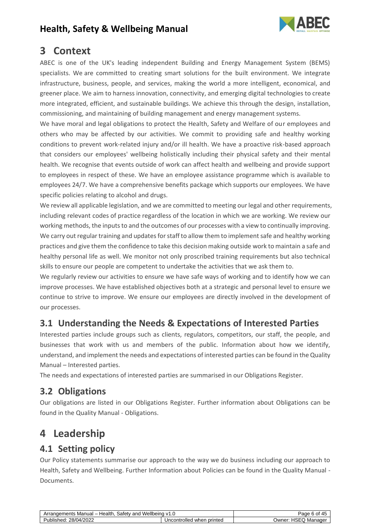

# <span id="page-5-0"></span>**3 Context**

ABEC is one of the UK's leading independent Building and Energy Management System (BEMS) specialists. We are committed to creating smart solutions for the built environment. We integrate infrastructure, business, people, and services, making the world a more intelligent, economical, and greener place. We aim to harness innovation, connectivity, and emerging digital technologies to create more integrated, efficient, and sustainable buildings. We achieve this through the design, installation, commissioning, and maintaining of building management and energy management systems.

We have moral and legal obligations to protect the Health, Safety and Welfare of our employees and others who may be affected by our activities. We commit to providing safe and healthy working conditions to prevent work-related injury and/or ill health. We have a proactive risk-based approach that considers our employees' wellbeing holistically including their physical safety and their mental health. We recognise that events outside of work can affect health and wellbeing and provide support to employees in respect of these. We have an employee assistance programme which is available to employees 24/7. We have a comprehensive benefits package which supports our employees. We have specific policies relating to alcohol and drugs.

We review all applicable legislation, and we are committed to meeting our legal and other requirements, including relevant codes of practice regardless of the location in which we are working. We review our working methods, the inputs to and the outcomes of our processes with a view to continually improving. We carry out regular training and updates for staff to allow them to implement safe and healthy working practices and give them the confidence to take this decision making outside work to maintain a safe and healthy personal life as well. We monitor not only proscribed training requirements but also technical skills to ensure our people are competent to undertake the activities that we ask them to.

We regularly review our activities to ensure we have safe ways of working and to identify how we can improve processes. We have established objectives both at a strategic and personal level to ensure we continue to strive to improve. We ensure our employees are directly involved in the development of our processes. 

### <span id="page-5-1"></span>**3.1 Understanding the Needs & Expectations of Interested Parties**

Interested parties include groups such as clients, regulators, competitors, our staff, the people, and businesses that work with us and members of the public. Information about how we identify, understand, and implement the needs and expectations of interested parties can be found in the Quality Manual – Interested parties.

The needs and expectations of interested parties are summarised in our Obligations Register.

## <span id="page-5-2"></span>**3.2 Obligations**

Our obligations are listed in our Obligations Register. Further information about Obligations can be found in the Quality Manual - Obligations.

# <span id="page-5-3"></span>**4 Leadership**

### <span id="page-5-4"></span>**4.1 Setting policy**

Our Policy statements summarise our approach to the way we do business including our approach to Health, Safety and Wellbeing. Further Information about Policies can be found in the Quality Manual - Documents.

| Wellbeing v1.<br>Health<br>Safety and<br>Arrangements .<br>, Manual – | ٦.υ                             | 0t<br>Page<br>-45        |
|-----------------------------------------------------------------------|---------------------------------|--------------------------|
| 4/2022<br>28/04/<br>Published:                                        | printed<br>Uncontrolleg<br>when | . HSEQ Manager<br>∪wner: |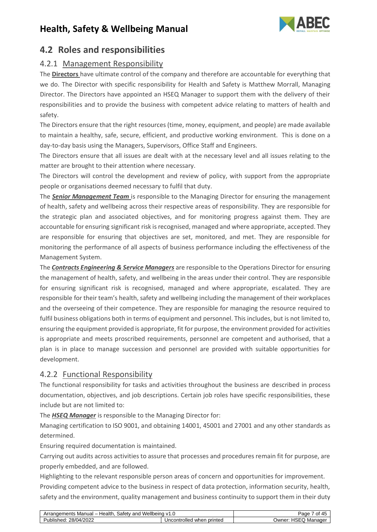

## <span id="page-6-0"></span>**4.2 Roles and responsibilities**

### <span id="page-6-1"></span>4.2.1 Management Responsibility

The **Directors** have ultimate control of the company and therefore are accountable for everything that we do. The Director with specific responsibility for Health and Safety is Matthew Morrall, Managing Director. The Directors have appointed an HSEQ Manager to support them with the delivery of their responsibilities and to provide the business with competent advice relating to matters of health and safety.

The Directors ensure that the right resources (time, money, equipment, and people) are made available to maintain a healthy, safe, secure, efficient, and productive working environment. This is done on a day-to-day basis using the Managers, Supervisors, Office Staff and Engineers.

The Directors ensure that all issues are dealt with at the necessary level and all issues relating to the matter are brought to their attention where necessary.

The Directors will control the development and review of policy, with support from the appropriate people or organisations deemed necessary to fulfil that duty.

The *Senior Management Team* is responsible to the Managing Director for ensuring the management of health, safety and wellbeing across their respective areas of responsibility. They are responsible for the strategic plan and associated objectives, and for monitoring progress against them. They are accountable for ensuring significant risk is recognised, managed and where appropriate, accepted. They are responsible for ensuring that objectives are set, monitored, and met. They are responsible for monitoring the performance of all aspects of business performance including the effectiveness of the Management System.

The *Contracts Engineering & Service Managers* are responsible to the Operations Director for ensuring the management of health, safety, and wellbeing in the areas under their control. They are responsible for ensuring significant risk is recognised, managed and where appropriate, escalated. They are responsible for their team's health, safety and wellbeing including the management of their workplaces and the overseeing of their competence. They are responsible for managing the resource required to fulfil business obligations both in terms of equipment and personnel. This includes, but is not limited to, ensuring the equipment provided is appropriate, fit for purpose, the environment provided for activities is appropriate and meets proscribed requirements, personnel are competent and authorised, that a plan is in place to manage succession and personnel are provided with suitable opportunities for development.

### <span id="page-6-2"></span>4.2.2 Functional Responsibility

The functional responsibility for tasks and activities throughout the business are described in process documentation, objectives, and job descriptions. Certain job roles have specific responsibilities, these include but are not limited to:

The *HSEQ Manager* is responsible to the Managing Director for:

Managing certification to ISO 9001, and obtaining 14001, 45001 and 27001 and any other standards as determined.

Ensuring required documentation is maintained.

Carrying out audits across activities to assure that processes and procedures remain fit for purpose, are properly embedded, and are followed.

Highlighting to the relevant responsible person areas of concern and opportunities for improvement. Providing competent advice to the business in respect of data protection, information security, health, safety and the environment, quality management and business continuity to support them in their duty

| Wellbeing<br>Health.<br>Manual –<br>and<br>ments<br>Safetv | .<br>$\mathbf{v}$<br>ט. ו            | aae'<br>⌒<br>$^{\prime\prime}$<br>U<br>–⊷ |
|------------------------------------------------------------|--------------------------------------|-------------------------------------------|
| 1000<br>28,<br>.<br>'М<br>'ublished<br>,,<br>:UZZ          | controlleo<br>printed<br>Unc<br>wher | Jwner:<br>Manader<br>15F<br>- -           |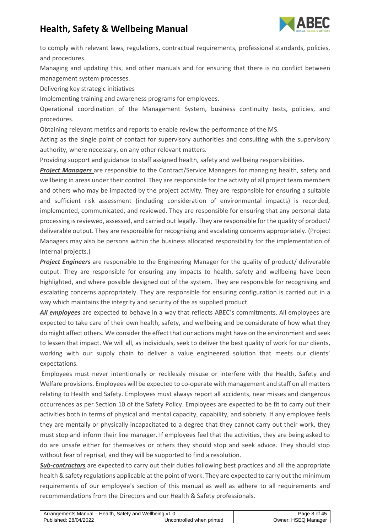

to comply with relevant laws, regulations, contractual requirements, professional standards, policies, and procedures.

Managing and updating this, and other manuals and for ensuring that there is no conflict between management system processes.

Delivering key strategic initiatives

Implementing training and awareness programs for employees.

Operational coordination of the Management System, business continuity tests, policies, and procedures.

Obtaining relevant metrics and reports to enable review the performance of the MS.

Acting as the single point of contact for supervisory authorities and consulting with the supervisory authority, where necessary, on any other relevant matters.

Providing support and guidance to staff assigned health, safety and wellbeing responsibilities.

*Project Managers* are responsible to the Contract/Service Managers for managing health, safety and wellbeing in areas under their control. They are responsible for the activity of all project team members and others who may be impacted by the project activity. They are responsible for ensuring a suitable and sufficient risk assessment (including consideration of environmental impacts) is recorded, implemented, communicated, and reviewed. They are responsible for ensuring that any personal data processing is reviewed, assessed, and carried out legally. They are responsible for the quality of product/ deliverable output. They are responsible for recognising and escalating concerns appropriately. (Project Managers may also be persons within the business allocated responsibility for the implementation of Internal projects.)

*Project Engineers* are responsible to the Engineering Manager for the quality of product/ deliverable output. They are responsible for ensuring any impacts to health, safety and wellbeing have been highlighted, and where possible designed out of the system. They are responsible for recognising and escalating concerns appropriately. They are responsible for ensuring configuration is carried out in a way which maintains the integrity and security of the as supplied product.

*All employees* are expected to behave in a way that reflects ABEC's commitments. All employees are expected to take care of their own health, safety, and wellbeing and be considerate of how what they do might affect others. We consider the effect that our actions might have on the environment and seek to lessen that impact. We will all, as individuals, seek to deliver the best quality of work for our clients, working with our supply chain to deliver a value engineered solution that meets our clients' expectations.

Employees must never intentionally or recklessly misuse or interfere with the Health, Safety and Welfare provisions. Employees will be expected to co-operate with management and staff on all matters relating to Health and Safety. Employees must always report all accidents, near misses and dangerous occurrences as per Section 10 of the Safety Policy. Employees are expected to be fit to carry out their activities both in terms of physical and mental capacity, capability, and sobriety. If any employee feels they are mentally or physically incapacitated to a degree that they cannot carry out their work, they must stop and inform their line manager. If employees feel that the activities, they are being asked to do are unsafe either for themselves or others they should stop and seek advice. They should stop without fear of reprisal, and they will be supported to find a resolution.

*Sub-contractors* are expected to carry out their duties following best practices and all the appropriate health & safety regulations applicable at the point of work. They are expected to carry out the minimum requirements of our employee's section of this manual as well as adhere to all requirements and recommendations from the Directors and our Health & Safety professionals.

| Wellbeina<br>Health.<br>Safety and<br>Manual –<br>naements<br>–∧rranor | $\mathcal{M}^{\mathcal{A}}$<br>ن ا | aqe<br>O1<br>$^{\prime\prime}$<br>–™        |
|------------------------------------------------------------------------|------------------------------------|---------------------------------------------|
| 28/(<br>Published.<br>ΠA.<br>,,<br>∠∪∠∠                                | printed<br>Uncontrolled<br>when    | ∪wner <sup>.</sup><br>. Manager<br>HSE<br>. |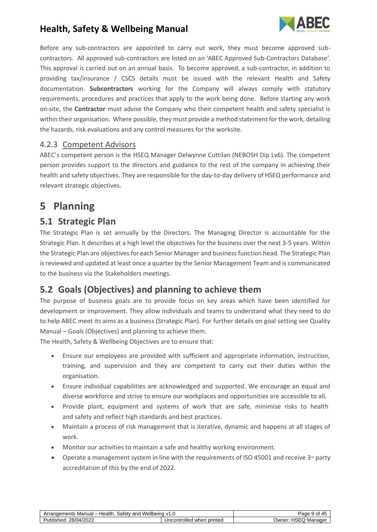

Before any sub-contractors are appointed to carry out work, they must become approved subcontractors. All approved sub-contractors are listed on an 'ABEC Approved Sub-Contractors Database'. This approval is carried out on an annual basis. To become approved, a sub-contractor, in addition to providing tax/insurance / CSCS details must be issued with the relevant Health and Safety documentation. **Subcontractors** working for the Company will always comply with statutory requirements, procedures and practices that apply to the work being done. Before starting any work on-site, the **Contractor** must advise the Company who their competent health and safety specialist is within their organisation. Where possible, they must provide a method statement for the work, detailing the hazards, risk evaluations and any control measures for the worksite.

#### <span id="page-8-0"></span>4.2.3 Competent Advisors

ABEC's competent person is the HSEQ Manager Delwynne Cuttilan (NEBOSH Dip Lv6). The competent person provides support to the directors and guidance to the rest of the company in achieving their health and safety objectives. They are responsible for the day-to-day delivery of HSEQ performance and relevant strategic objectives.

## <span id="page-8-1"></span>**5 Planning**

### <span id="page-8-2"></span>**5.1 Strategic Plan**

The Strategic Plan is set annually by the Directors. The Managing Director is accountable for the Strategic Plan. It describes at a high level the objectives for the business over the next 3-5 years. Within the Strategic Plan are objectives for each Senior Manager and business function head. The Strategic Plan is reviewed and updated at least once a quarter by the Senior Management Team and is communicated to the business via the Stakeholders meetings.

### <span id="page-8-3"></span>**5.2 Goals (Objectives) and planning to achieve them**

The purpose of business goals are to provide focus on key areas which have been identified for development or improvement. They allow individuals and teams to understand what they need to do to help ABEC meet its aims as a business (Strategic Plan). For further details on goal setting see Quality Manual – Goals (Objectives) and planning to achieve them.

The Health, Safety & Wellbeing Objectives are to ensure that:

- Ensure our employees are provided with sufficient and appropriate information, instruction, training, and supervision and they are competent to carry out their duties within the organisation.
- Ensure individual capabilities are acknowledged and supported. We encourage an equal and diverse workforce and strive to ensure our workplaces and opportunities are accessible to all.
- Provide plant, equipment and systems of work that are safe, minimise risks to health and safety and reflect high standards and best practices.
- Maintain a process of risk management that is iterative, dynamic and happens at all stages of work.
- Monitor our activities to maintain a safe and healthy working environment.
- Operate a management system in line with the requirements of ISO 45001 and receive  $3<sup>d</sup>$  party accreditation of this by the end of 2022.

| Wellbeing<br>Health.<br>Safetv<br>: Manual –<br>and<br>Arrangements | $\mathsf{M}$ 1<br>٦.υ               | 0t<br>Page<br>45         |
|---------------------------------------------------------------------|-------------------------------------|--------------------------|
| 28/04/2022<br>$\cdots$<br>Published:                                | printed<br>Uncontrolled '<br>i when | . HSEQ Manager<br>⊃wner: |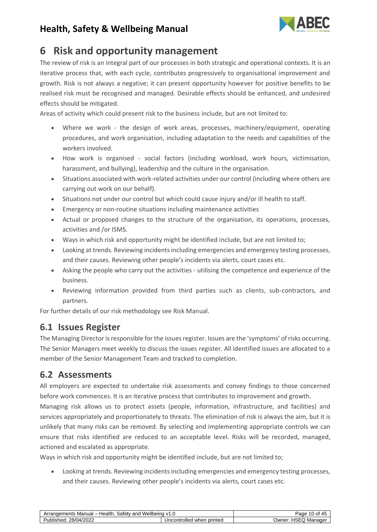

# <span id="page-9-0"></span>**6 Risk and opportunity management**

The review of risk is an integral part of our processes in both strategic and operational contexts. It is an iterative process that, with each cycle, contributes progressively to organisational improvement and growth. Risk is not always a negative; it can present opportunity however for positive benefits to be realised risk must be recognised and managed. Desirable effects should be enhanced, and undesired effects should be mitigated.

Areas of activity which could present risk to the business include, but are not limited to:

- Where we work the design of work areas, processes, machinery/equipment, operating procedures, and work organisation, including adaptation to the needs and capabilities of the workers involved.
- How work is organised social factors (including workload, work hours, victimisation, harassment, and bullying), leadership and the culture in the organisation.
- Situations associated with work-related activities under our control (including where others are carrying out work on our behalf).
- Situations not under our control but which could cause injury and/or ill health to staff.
- Emergency or non-routine situations including maintenance activities
- Actual or proposed changes to the structure of the organisation, its operations, processes, activities and /or ISMS.
- Ways in which risk and opportunity might be identified include, but are not limited to;
- Looking at trends. Reviewing incidents including emergencies and emergency testing processes, and their causes. Reviewing other people's incidents via alerts, court cases etc.
- Asking the people who carry out the activities utilising the competence and experience of the business.
- Reviewing information provided from third parties such as clients, sub-contractors, and partners.

For further details of our risk methodology see Risk Manual.

## <span id="page-9-1"></span>**6.1 Issues Register**

The Managing Director is responsible for the issues register. Issues are the 'symptoms' of risks occurring. The Senior Managers meet weekly to discuss the issues register. All identified issues are allocated to a member of the Senior Management Team and tracked to completion.

### <span id="page-9-2"></span>**6.2 Assessments**

All employers are expected to undertake risk assessments and convey findings to those concerned before work commences. It is an iterative process that contributes to improvement and growth.

Managing risk allows us to protect assets (people, information, infrastructure, and facilities) and services appropriately and proportionately to threats. The elimination of risk is always the aim, but it is unlikely that many risks can be removed. By selecting and implementing appropriate controls we can ensure that risks identified are reduced to an acceptable level. Risks will be recorded, managed, actioned and escalated as appropriate.

Ways in which risk and opportunity might be identified include, but are not limited to;

• Looking at trends. Reviewing incidents including emergencies and emergency testing processes, and their causes. Reviewing other people's incidents via alerts, court cases etc.

| $\cdots$<br>Health.<br><br>Wellbeing<br>Manual –<br>$max+1$<br>and<br>satetv<br>™ients<br>Affanger | ٠. ا                                                 | ہر<br>age<br>ΟĪ<br>–™        |
|----------------------------------------------------------------------------------------------------|------------------------------------------------------|------------------------------|
| 28/04/2022<br>hed.<br>ublish                                                                       | ≅printed<br><i><b>*rollec</b></i><br>Uncontr<br>wher | ∪wner:<br>Manage<br>15E<br>w |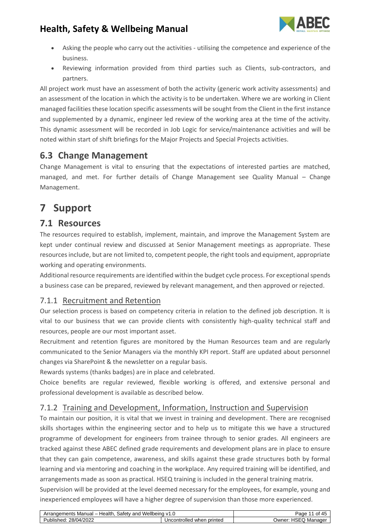

- Asking the people who carry out the activities utilising the competence and experience of the business.
- Reviewing information provided from third parties such as Clients, sub-contractors, and partners.

All project work must have an assessment of both the activity (generic work activity assessments) and an assessment of the location in which the activity is to be undertaken. Where we are working in Client managed facilities these location specific assessments will be sought from the Client in the first instance and supplemented by a dynamic, engineer led review of the working area at the time of the activity. This dynamic assessment will be recorded in Job Logic for service/maintenance activities and will be noted within start of shift briefings for the Major Projects and Special Projects activities.

### <span id="page-10-0"></span>**6.3 Change Management**

Change Management is vital to ensuring that the expectations of interested parties are matched, managed, and met. For further details of Change Management see Quality Manual – Change Management.

# <span id="page-10-1"></span>**7 Support**

### <span id="page-10-2"></span>**7.1 Resources**

The resources required to establish, implement, maintain, and improve the Management System are kept under continual review and discussed at Senior Management meetings as appropriate. These resources include, but are not limited to, competent people, the right tools and equipment, appropriate working and operating environments.

Additional resource requirements are identified within the budget cycle process. For exceptional spends a business case can be prepared, reviewed by relevant management, and then approved or rejected.

### <span id="page-10-3"></span>7.1.1 Recruitment and Retention

Our selection process is based on competency criteria in relation to the defined job description. It is vital to our business that we can provide clients with consistently high-quality technical staff and resources, people are our most important asset.

Recruitment and retention figures are monitored by the Human Resources team and are regularly communicated to the Senior Managers via the monthly KPI report. Staff are updated about personnel changes via SharePoint & the newsletter on a regular basis.

Rewards systems (thanks badges) are in place and celebrated.

Choice benefits are regular reviewed, flexible working is offered, and extensive personal and professional development is available as described below.

### <span id="page-10-4"></span>7.1.2 Training and Development, Information, Instruction and Supervision

To maintain our position, it is vital that we invest in training and development. There are recognised skills shortages within the engineering sector and to help us to mitigate this we have a structured programme of development for engineers from trainee through to senior grades. All engineers are tracked against these ABEC defined grade requirements and development plans are in place to ensure that they can gain competence, awareness, and skills against these grade structures both by formal learning and via mentoring and coaching in the workplace. Any required training will be identified, and arrangements made as soon as practical. HSEQ training is included in the general training matrix.

Supervision will be provided at the level deemed necessary for the employees, for example, young and inexperienced employees will have a higher degree of supervision than those more experienced.

| Wellbeing<br>Health<br>Manual –<br>and<br>Safet<br>nents<br>nei | $\mathbf{v}$<br>ن ا | .<br>Οt<br>aue     |
|-----------------------------------------------------------------|---------------------|--------------------|
| 112022                                                          | printed             | 10F <sub>0</sub>   |
| 114                                                             | -----               | ⊃wner <sup>.</sup> |
| 'ublishe                                                        | ∵inc∖               | anager             |
| ا/ ص                                                            | wher                | ма                 |
| 2UZZ                                                            | rolled              | _                  |
| .                                                               | onti                | '⊤ا∂1              |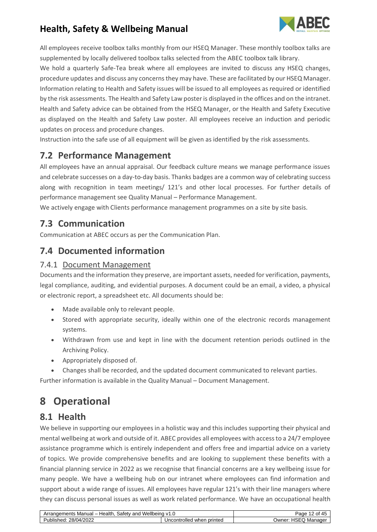

All employees receive toolbox talks monthly from our HSEQ Manager. These monthly toolbox talks are supplemented by locally delivered toolbox talks selected from the ABEC toolbox talk library.

We hold a quarterly Safe-Tea break where all employees are invited to discuss any HSEQ changes, procedure updates and discuss any concerns they may have. These are facilitated by our HSEQ Manager. Information relating to Health and Safety issues will be issued to all employees as required or identified by the risk assessments. The Health and Safety Law poster is displayed in the offices and on the intranet. Health and Safety advice can be obtained from the HSEQ Manager, or the Health and Safety Executive as displayed on the Health and Safety Law poster. All employees receive an induction and periodic updates on process and procedure changes.

Instruction into the safe use of all equipment will be given as identified by the risk assessments.

### <span id="page-11-0"></span>**7.2 Performance Management**

All employees have an annual appraisal. Our feedback culture means we manage performance issues and celebrate successes on a day-to-day basis. Thanks badges are a common way of celebrating success along with recognition in team meetings/ 121's and other local processes. For further details of performance management see Quality Manual – Performance Management.

We actively engage with Clients performance management programmes on a site by site basis.

## <span id="page-11-1"></span>**7.3 Communication**

Communication at ABEC occurs as per the Communication Plan.

### <span id="page-11-2"></span>**7.4 Documented information**

### <span id="page-11-3"></span>7.4.1 Document Management

Documents and the information they preserve, are important assets, needed for verification, payments, legal compliance, auditing, and evidential purposes. A document could be an email, a video, a physical or electronic report, a spreadsheet etc. All documents should be:

- Made available only to relevant people.
- Stored with appropriate security, ideally within one of the electronic records management systems.
- Withdrawn from use and kept in line with the document retention periods outlined in the Archiving Policy.
- Appropriately disposed of.
- Changes shall be recorded, and the updated document communicated to relevant parties.

Further information is available in the Quality Manual – Document Management.

# <span id="page-11-4"></span>**8 Operational**

### <span id="page-11-5"></span>**8.1 Health**

We believe in supporting our employees in a holistic way and this includes supporting their physical and mental wellbeing at work and outside of it. ABEC provides all employees with access to a 24/7 employee assistance programme which is entirely independent and offers free and impartial advice on a variety of topics. We provide comprehensive benefits and are looking to supplement these benefits with a financial planning service in 2022 as we recognise that financial concerns are a key wellbeing issue for many people. We have a wellbeing hub on our intranet where employees can find information and support about a wide range of issues. All employees have regular 121's with their line managers where they can discuss personal issues as well as work related performance. We have an occupational health

| Wellbeing<br>Health.<br>Safet <sup>®</sup><br>rranger.<br>Manual –<br>and<br>-----<br>nents | V <sup>1</sup><br>ن ا             | $\sim$<br>Page<br>∽                  |
|---------------------------------------------------------------------------------------------|-----------------------------------|--------------------------------------|
| 28/04/2022<br>Published:                                                                    | ` printec<br>Uncontrolled<br>when | ு பிள<br>⊃wner:<br>⊥ Manaαer<br>75FG |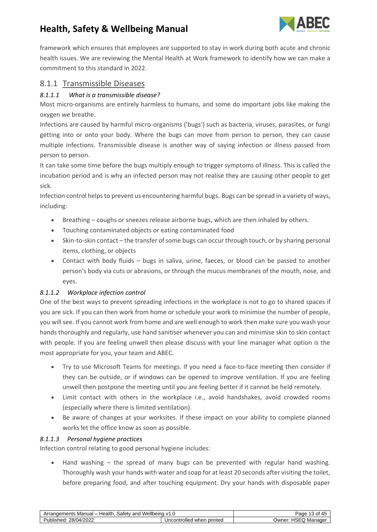

framework which ensures that employees are supported to stay in work during both acute and chronic health issues. We are reviewing the Mental Health at Work framework to identify how we can make a commitment to this standard in 2022.

### <span id="page-12-0"></span>8.1.1 Transmissible Diseases

#### <span id="page-12-1"></span>*8.1.1.1 What is a transmissible disease?*

Most micro-organisms are entirely harmless to humans, and some do important jobs like making the oxygen we breathe.

Infections are caused by harmful micro-organisms ('bugs') such as bacteria, viruses, parasites, or fungi getting into or onto your body. Where the bugs can move from person to person, they can cause multiple infections. Transmissible disease is another way of saying infection or illness passed from person to person.

It can take some time before the bugs multiply enough to trigger symptoms of illness. This is called the incubation period and is why an infected person may not realise they are causing other people to get sick.

Infection control helps to prevent us encountering harmful bugs. Bugs can be spread in a variety of ways, including:

- Breathing coughs or sneezes release airborne bugs, which are then inhaled by others.
- Touching contaminated objects or eating contaminated food
- Skin-to-skin contact the transfer of some bugs can occur through touch, or by sharing personal items, clothing, or objects
- Contact with body fluids bugs in saliva, urine, faeces, or blood can be passed to another person's body via cuts or abrasions, or through the mucus membranes of the mouth, nose, and eyes.

#### <span id="page-12-2"></span>*8.1.1.2 Workplace infection control*

One of the best ways to prevent spreading infections in the workplace is not to go to shared spaces if you are sick. If you can then work from home or schedule your work to minimise the number of people, you will see. If you cannot work from home and are well enough to work then make sure you wash your hands thoroughly and regularly, use hand sanitiser whenever you can and minimise skin to skin contact with people. If you are feeling unwell then please discuss with your line manager what option is the most appropriate for you, your team and ABEC.

- Try to use Microsoft Teams for meetings. If you need a face-to-face meeting then consider if they can be outside, or if windows can be opened to improve ventilation. If you are feeling unwell then postpone the meeting until you are feeling better if it cannot be held remotely.
- Limit contact with others in the workplace i.e., avoid handshakes, avoid crowded rooms (especially where there is limited ventilation).
- Be aware of changes at your worksites. If these impact on your ability to complete planned works let the office know as soon as possible.

#### <span id="page-12-3"></span>*8.1.1.3 Personal hygiene practices*

Infection control relating to good personal hygiene includes:

• Hand washing – the spread of many bugs can be prevented with regular hand washing. Thoroughly wash your hands with water and soap for at least 20 seconds after visiting the toilet, before preparing food, and after touching equipment. Dry your hands with disposable paper

| Wellbeing<br>Health<br>Arr~<br>satety<br>and<br>. Manual –<br>nents<br>ranger | .<br>$\mathbf{v}$<br>ں. ا       | ⌒<br>Page<br>∽                          |
|-------------------------------------------------------------------------------|---------------------------------|-----------------------------------------|
| <b>04/2022</b><br>28/04/<br>Published:                                        | Uncontrolled<br>printed<br>when | $n^{\sim}$<br>Jwner:<br>Manader<br>75EG |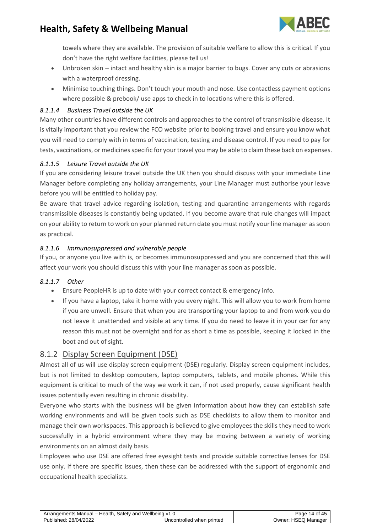

towels where they are available. The provision of suitable welfare to allow this is critical. If you don't have the right welfare facilities, please tell us!

- Unbroken skin intact and healthy skin is a major barrier to bugs. Cover any cuts or abrasions with a waterproof dressing.
- Minimise touching things. Don't touch your mouth and nose. Use contactless payment options where possible & prebook/ use apps to check in to locations where this is offered.

#### <span id="page-13-0"></span>*8.1.1.4 Business Travel outside the UK*

Many other countries have different controls and approaches to the control of transmissible disease. It is vitally important that you review the FCO website prior to booking travel and ensure you know what you will need to comply with in terms of vaccination, testing and disease control. If you need to pay for tests, vaccinations, or medicines specific for your travel you may be able to claim these back on expenses.

#### <span id="page-13-1"></span>*8.1.1.5 Leisure Travel outside the UK*

If you are considering leisure travel outside the UK then you should discuss with your immediate Line Manager before completing any holiday arrangements, your Line Manager must authorise your leave before you will be entitled to holiday pay.

Be aware that travel advice regarding isolation, testing and quarantine arrangements with regards transmissible diseases is constantly being updated. If you become aware that rule changes will impact on your ability to return to work on your planned return date you must notify your line manager as soon as practical.

#### <span id="page-13-2"></span>*8.1.1.6 Immunosuppressed and vulnerable people*

If you, or anyone you live with is, or becomes immunosuppressed and you are concerned that this will affect your work you should discuss this with your line manager as soon as possible.

#### <span id="page-13-3"></span>*8.1.1.7 Other*

- Ensure PeopleHR is up to date with your correct contact & emergency info.
- If you have a laptop, take it home with you every night. This will allow you to work from home if you are unwell. Ensure that when you are transporting your laptop to and from work you do not leave it unattended and visible at any time. If you do need to leave it in your car for any reason this must not be overnight and for as short a time as possible, keeping it locked in the boot and out of sight.

#### <span id="page-13-4"></span>8.1.2 Display Screen Equipment (DSE)

Almost all of us will use display screen equipment (DSE) regularly. Display screen equipment includes, but is not limited to desktop computers, laptop computers, tablets, and mobile phones. While this equipment is critical to much of the way we work it can, if not used properly, cause significant health issues potentially even resulting in chronic disability.

Everyone who starts with the business will be given information about how they can establish safe working environments and will be given tools such as DSE checklists to allow them to monitor and manage their own workspaces. This approach is believed to give employees the skills they need to work successfully in a hybrid environment where they may be moving between a variety of working environments on an almost daily basis.

Employees who use DSE are offered free eyesight tests and provide suitable corrective lenses for DSE use only. If there are specific issues, then these can be addressed with the support of ergonomic and occupational health specialists.

| Wellbeing<br>Health<br>Safet <sup>-</sup><br>Arrar<br>Manual –<br>nents<br>and | 1.V                                    | Page<br>Οt<br>$\Lambda$<br>$\mathbf{u}$<br>∽ |
|--------------------------------------------------------------------------------|----------------------------------------|----------------------------------------------|
| 28/04/2022<br>Published.                                                       | norintec.<br>olled.<br>when<br>Jnconti | HSEQ M<br>Manager<br>∪wner ∶                 |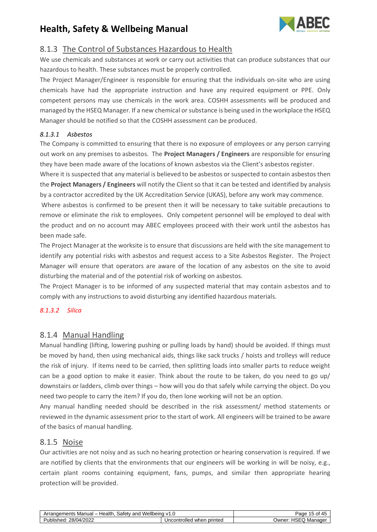

### <span id="page-14-0"></span>8.1.3 The Control of Substances Hazardous to Health

We use chemicals and substances at work or carry out activities that can produce substances that our hazardous to health. These substances must be properly controlled.

The Project Manager/Engineer is responsible for ensuring that the individuals on-site who are using chemicals have had the appropriate instruction and have any required equipment or PPE. Only competent persons may use chemicals in the work area. COSHH assessments will be produced and managed by the HSEQ Manager. If a new chemical or substance is being used in the workplace the HSEQ Manager should be notified so that the COSHH assessment can be produced.

#### <span id="page-14-1"></span>*8.1.3.1 Asbestos*

The Company is committed to ensuring that there is no exposure of employees or any person carrying out work on any premises to asbestos. The **Project Managers / Engineers** are responsible for ensuring they have been made aware of the locations of known asbestos via the Client's asbestos register.

Where it is suspected that any material is believed to be asbestos or suspected to contain asbestos then the **Project Managers / Engineers** will notify the Client so that it can be tested and identified by analysis by a contractor accredited by the UK Accreditation Service (UKAS), before any work may commence.

Where asbestos is confirmed to be present then it will be necessary to take suitable precautions to remove or eliminate the risk to employees. Only competent personnel will be employed to deal with the product and on no account may ABEC employees proceed with their work until the asbestos has been made safe.

The Project Manager at the worksite is to ensure that discussions are held with the site management to identify any potential risks with asbestos and request access to a Site Asbestos Register. The Project Manager will ensure that operators are aware of the location of any asbestos on the site to avoid disturbing the material and of the potential risk of working on asbestos.

The Project Manager is to be informed of any suspected material that may contain asbestos and to comply with any instructions to avoid disturbing any identified hazardous materials.

#### <span id="page-14-2"></span>*8.1.3.2 Silica*

### <span id="page-14-3"></span>8.1.4 Manual Handling

Manual handling (lifting, lowering pushing or pulling loads by hand) should be avoided. If things must be moved by hand, then using mechanical aids, things like sack trucks / hoists and trolleys will reduce the risk of injury. If items need to be carried, then splitting loads into smaller parts to reduce weight can be a good option to make it easier. Think about the route to be taken, do you need to go up/ downstairs or ladders, climb over things – how will you do that safely while carrying the object. Do you need two people to carry the item? If you do, then lone working will not be an option.

Any manual handling needed should be described in the risk assessment/ method statements or reviewed in the dynamic assessment prior to the start of work. All engineers will be trained to be aware of the basics of manual handling.

#### <span id="page-14-4"></span>8.1.5 Noise

Our activities are not noisy and as such no hearing protection or hearing conservation is required. If we are notified by clients that the environments that our engineers will be working in will be noisy, e.g., certain plant rooms containing equipment, fans, pumps, and similar then appropriate hearing protection will be provided.

| Wellbeing<br>Health<br>Arrangements<br>satetv<br>Manual –<br>and | .<br>M                            | Page<br>i5 of<br>$7 -$<br>᠇   |
|------------------------------------------------------------------|-----------------------------------|-------------------------------|
| 28/04/2022<br>Published:                                         | Uncontrolled<br>⊦ printed<br>when | <b>HSEQ Manager</b><br>∪wner: |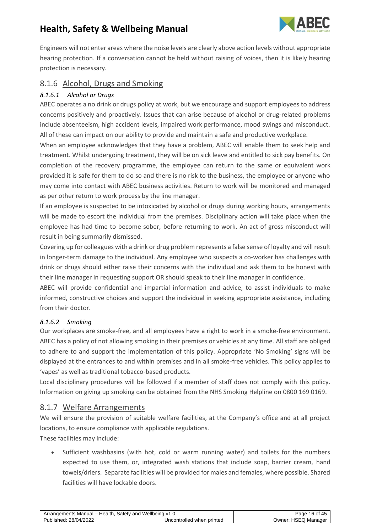

Engineers will not enter areas where the noise levels are clearly above action levels without appropriate hearing protection. If a conversation cannot be held without raising of voices, then it is likely hearing protection is necessary.

### <span id="page-15-0"></span>8.1.6 Alcohol, Drugs and Smoking

#### <span id="page-15-1"></span>*8.1.6.1 Alcohol or Drugs*

ABEC operates a no drink or drugs policy at work, but we encourage and support employees to address concerns positively and proactively. Issues that can arise because of alcohol or drug-related problems include absenteeism, high accident levels, impaired work performance, mood swings and misconduct. All of these can impact on our ability to provide and maintain a safe and productive workplace.

When an employee acknowledges that they have a problem, ABEC will enable them to seek help and treatment. Whilst undergoing treatment, they will be on sick leave and entitled to sick pay benefits. On completion of the recovery programme, the employee can return to the same or equivalent work provided it is safe for them to do so and there is no risk to the business, the employee or anyone who may come into contact with ABEC business activities. Return to work will be monitored and managed as per other return to work process by the line manager.

If an employee is suspected to be intoxicated by alcohol or drugs during working hours, arrangements will be made to escort the individual from the premises. Disciplinary action will take place when the employee has had time to become sober, before returning to work. An act of gross misconduct will result in being summarily dismissed.

Covering up for colleagues with a drink or drug problem represents a false sense of loyalty and will result in longer-term damage to the individual. Any employee who suspects a co-worker has challenges with drink or drugs should either raise their concerns with the individual and ask them to be honest with their line manager in requesting support OR should speak to their line manager in confidence.

ABEC will provide confidential and impartial information and advice, to assist individuals to make informed, constructive choices and support the individual in seeking appropriate assistance, including from their doctor.

#### <span id="page-15-2"></span>*8.1.6.2 Smoking*

Our workplaces are smoke-free, and all employees have a right to work in a smoke-free environment. ABEC has a policy of not allowing smoking in their premises or vehicles at any time. All staff are obliged to adhere to and support the implementation of this policy. Appropriate 'No Smoking' signs will be displayed at the entrances to and within premises and in all smoke-free vehicles. This policy applies to 'vapes' as well as traditional tobacco-based products.

Local disciplinary procedures will be followed if a member of staff does not comply with this policy. Information on giving up smoking can be obtained from the NHS Smoking Helpline on 0800 169 0169.

### <span id="page-15-3"></span>8.1.7 Welfare Arrangements

We will ensure the provision of suitable welfare facilities, at the Company's office and at all project locations, to ensure compliance with applicable regulations.

These facilities may include:

• Sufficient washbasins (with hot, cold or warm running water) and toilets for the numbers expected to use them, or, integrated wash stations that include soap, barrier cream, hand towels/driers. Separate facilities will be provided for males and females, where possible. Shared facilities will have lockable doors.

| Wellbeing,<br>Health<br>Safetv<br>rrangen.<br>Manual –<br>ıements<br>and | $\mathcal{L}$<br>ن ا                 | .6 of<br>Page<br>$\sqrt{2}$<br>–™ |
|--------------------------------------------------------------------------|--------------------------------------|-----------------------------------|
| 28/04/2022<br>$\cdots$<br>Published:                                     | olled.<br>printed<br>Uncontr<br>when | ∪wner:<br><b>HSEQ Manager</b>     |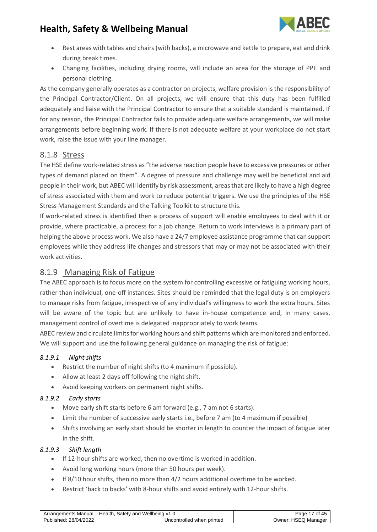

- Rest areas with tables and chairs (with backs), a microwave and kettle to prepare, eat and drink during break times.
- Changing facilities, including drying rooms, will include an area for the storage of PPE and personal clothing.

As the company generally operates as a contractor on projects, welfare provision is the responsibility of the Principal Contractor/Client. On all projects, we will ensure that this duty has been fulfilled adequately and liaise with the Principal Contractor to ensure that a suitable standard is maintained. If for any reason, the Principal Contractor fails to provide adequate welfare arrangements, we will make arrangements before beginning work. If there is not adequate welfare at your workplace do not start work, raise the issue with your line manager.

### <span id="page-16-0"></span>8.1.8 Stress

The HSE define work-related stress as "the adverse reaction people have to excessive pressures or other types of demand placed on them". A degree of pressure and challenge may well be beneficial and aid people in their work, but ABEC will identify by risk assessment, areas that are likely to have a high degree of stress associated with them and work to reduce potential triggers. We use the principles of the HSE Stress Management Standards and the Talking Toolkit to structure this.

If work-related stress is identified then a process of support will enable employees to deal with it or provide, where practicable, a process for a job change. Return to work interviews is a primary part of helping the above process work. We also have a 24/7 employee assistance programme that can support employees while they address life changes and stressors that may or may not be associated with their work activities.

### <span id="page-16-1"></span>8.1.9 Managing Risk of Fatigue

The ABEC approach is to focus more on the system for controlling excessive or fatiguing working hours, rather than individual, one-off instances. Sites should be reminded that the legal duty is on employers to manage risks from fatigue, irrespective of any individual's willingness to work the extra hours. Sites will be aware of the topic but are unlikely to have in-house competence and, in many cases, management control of overtime is delegated inappropriately to work teams.

ABEC review and circulate limits for working hours and shift patterns which are monitored and enforced. We will support and use the following general guidance on managing the risk of fatigue:

#### *8.1.9.1 Night shifts*

- <span id="page-16-2"></span>• Restrict the number of night shifts (to 4 maximum if possible).
- Allow at least 2 days off following the night shift.
- <span id="page-16-3"></span>• Avoid keeping workers on permanent night shifts.

#### *8.1.9.2 Early starts*

- Move early shift starts before 6 am forward (e.g., 7 am not 6 starts).
- Limit the number of successive early starts i.e., before 7 am (to 4 maximum if possible)
- Shifts involving an early start should be shorter in length to counter the impact of fatigue later in the shift.

#### *8.1.9.3 Shift length*

- <span id="page-16-4"></span>• If 12-hour shifts are worked, then no overtime is worked in addition.
- Avoid long working hours (more than 50 hours per week).
- If 8/10 hour shifts, then no more than 4/2 hours additional overtime to be worked.
- Restrict 'back to backs' with 8-hour shifts and avoid entirely with 12-hour shifts.

| Wellbeing<br>Health<br>Safety<br>Manual –<br>and<br>nents<br>rander<br>mι. | ن ا                                    | Page<br>Οt                   |
|----------------------------------------------------------------------------|----------------------------------------|------------------------------|
| 28/04/2022<br>'ublished:                                                   | Uncontrolled<br>printed<br>- -<br>wher | ∪wner:<br>Manage<br>15F<br>ີ |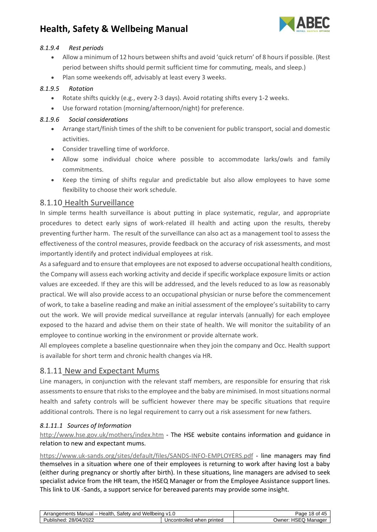

#### *8.1.9.4 Rest periods*

- <span id="page-17-0"></span>• Allow a minimum of 12 hours between shifts and avoid 'quick return' of 8 hours if possible. (Rest period between shifts should permit sufficient time for commuting, meals, and sleep.)
- <span id="page-17-1"></span>• Plan some weekends off, advisably at least every 3 weeks.

#### *8.1.9.5 Rotation*

- Rotate shifts quickly (e.g., every 2-3 days). Avoid rotating shifts every 1-2 weeks.
- Use forward rotation (morning/afternoon/night) for preference.

#### *8.1.9.6 Social considerations*

- <span id="page-17-2"></span>• Arrange start/finish times of the shift to be convenient for public transport, social and domestic activities.
- Consider travelling time of workforce.
- Allow some individual choice where possible to accommodate larks/owls and family commitments.
- Keep the timing of shifts regular and predictable but also allow employees to have some flexibility to choose their work schedule.

### <span id="page-17-3"></span>8.1.10 Health Surveillance

In simple terms health surveillance is about putting in place systematic, regular, and appropriate procedures to detect early signs of work-related ill health and acting upon the results, thereby preventing further harm. The result of the surveillance can also act as a management tool to assess the effectiveness of the control measures, provide feedback on the accuracy of risk assessments, and most importantly identify and protect individual employees at risk.

As a safeguard and to ensure that employees are not exposed to adverse occupational health conditions, the Company will assess each working activity and decide if specific workplace exposure limits or action values are exceeded. If they are this will be addressed, and the levels reduced to as low as reasonably practical. We will also provide access to an occupational physician or nurse before the commencement of work, to take a baseline reading and make an initial assessment of the employee's suitability to carry out the work. We will provide medical surveillance at regular intervals (annually) for each employee exposed to the hazard and advise them on their state of health. We will monitor the suitability of an employee to continue working in the environment or provide alternate work.

All employees complete a baseline questionnaire when they join the company and Occ. Health support is available for short term and chronic health changes via HR.

### <span id="page-17-4"></span>8.1.11 New and Expectant Mums

Line managers, in conjunction with the relevant staff members, are responsible for ensuring that risk assessments to ensure that risks to the employee and the baby are minimised. In most situations normal health and safety controls will be sufficient however there may be specific situations that require additional controls. There is no legal requirement to carry out a risk assessment for new fathers.

#### <span id="page-17-5"></span>*8.1.11.1 Sources of Information*

<http://www.hse.gov.uk/mothers/index.htm> - The HSE website contains information and guidance in relation to new and expectant mums.

<https://www.uk-sands.org/sites/default/files/SANDS-INFO-EMPLOYERS.pdf> - line managers may find themselves in a situation where one of their employees is returning to work after having lost a baby (either during pregnancy or shortly after birth). In these situations, line managers are advised to seek specialist advice from the HR team, the HSEQ Manager or from the Employee Assistance support lines. This link to UK -Sands, a support service for bereaved parents may provide some insight.

| Wellbeing<br>Health<br>Safet <sup>,</sup><br>and<br>. Manual –<br>naer<br>ents | $\mathcal{M}^{\mathcal{A}}$<br>ט. ו | Page<br>ΟĪ<br>–™                |
|--------------------------------------------------------------------------------|-------------------------------------|---------------------------------|
| 1/2022<br>28/04<br>'ublished.                                                  | printed<br>Uncontrolled<br>when     | Owner:<br>. Manager<br>15E<br>ີ |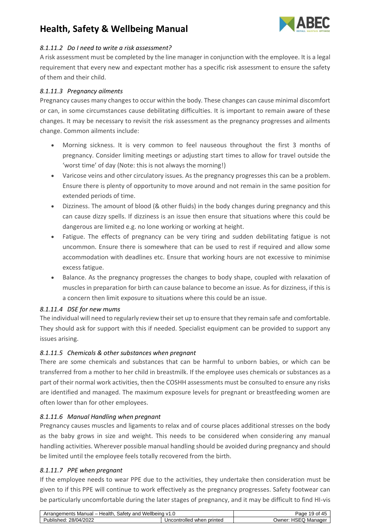

#### <span id="page-18-0"></span>*8.1.11.2 Do I need to write a risk assessment?*

A risk assessment must be completed by the line manager in conjunction with the employee. It is a legal requirement that every new and expectant mother has a specific risk assessment to ensure the safety of them and their child.

#### <span id="page-18-1"></span>*8.1.11.3 Pregnancy ailments*

Pregnancy causes many changes to occur within the body. These changes can cause minimal discomfort or can, in some circumstances cause debilitating difficulties. It is important to remain aware of these changes. It may be necessary to revisit the risk assessment as the pregnancy progresses and ailments change. Common ailments include:

- Morning sickness. It is very common to feel nauseous throughout the first 3 months of pregnancy. Consider limiting meetings or adjusting start times to allow for travel outside the 'worst time' of day (Note: this is not always the morning!)
- Varicose veins and other circulatory issues. As the pregnancy progresses this can be a problem. Ensure there is plenty of opportunity to move around and not remain in the same position for extended periods of time.
- Dizziness. The amount of blood (& other fluids) in the body changes during pregnancy and this can cause dizzy spells. If dizziness is an issue then ensure that situations where this could be dangerous are limited e.g. no lone working or working at height.
- Fatigue. The effects of pregnancy can be very tiring and sudden debilitating fatigue is not uncommon. Ensure there is somewhere that can be used to rest if required and allow some accommodation with deadlines etc. Ensure that working hours are not excessive to minimise excess fatigue.
- Balance. As the pregnancy progresses the changes to body shape, coupled with relaxation of muscles in preparation for birth can cause balance to become an issue. As for dizziness, if this is a concern then limit exposure to situations where this could be an issue.

#### <span id="page-18-2"></span>*8.1.11.4 DSE for new mums*

The individual will need to regularly review their set up to ensure that they remain safe and comfortable. They should ask for support with this if needed. Specialist equipment can be provided to support any issues arising.

#### <span id="page-18-3"></span>*8.1.11.5 Chemicals & other substances when pregnant*

There are some chemicals and substances that can be harmful to unborn babies, or which can be transferred from a mother to her child in breastmilk. If the employee uses chemicals or substances as a part of their normal work activities, then the COSHH assessments must be consulted to ensure any risks are identified and managed. The maximum exposure levels for pregnant or breastfeeding women are often lower than for other employees.

#### <span id="page-18-4"></span>*8.1.11.6 Manual Handling when pregnant*

Pregnancy causes muscles and ligaments to relax and of course places additional stresses on the body as the baby grows in size and weight. This needs to be considered when considering any manual handling activities. Wherever possible manual handling should be avoided during pregnancy and should be limited until the employee feels totally recovered from the birth.

#### <span id="page-18-5"></span>*8.1.11.7 PPE when pregnant*

If the employee needs to wear PPE due to the activities, they undertake then consideration must be given to if this PPE will continue to work effectively as the pregnancy progresses. Safety footwear can be particularly uncomfortable during the later stages of pregnancy, and it may be difficult to find HI-vis

| Wellbeina<br>Health<br>Manual –<br>Safety<br>and<br>. <b>.</b> .<br>ments | 1.U                                    | 9<br>Page<br>.                                      |
|---------------------------------------------------------------------------|----------------------------------------|-----------------------------------------------------|
| 28/04/2022<br>Published.                                                  | Uncontrolled<br>printed<br>- -<br>wher | . HSEC<br>∪wner <sup>.</sup><br>Manage <sup>®</sup> |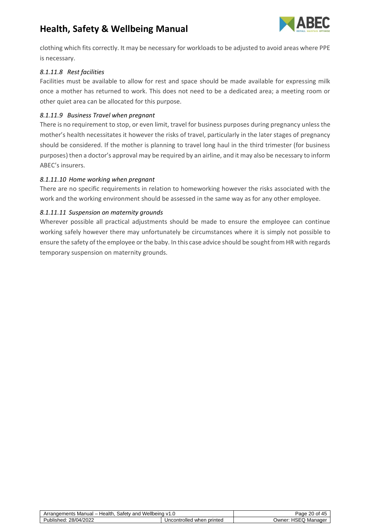

clothing which fits correctly. It may be necessary for workloads to be adjusted to avoid areas where PPE is necessary.

#### <span id="page-19-0"></span>*8.1.11.8 Rest facilities*

Facilities must be available to allow for rest and space should be made available for expressing milk once a mother has returned to work. This does not need to be a dedicated area; a meeting room or other quiet area can be allocated for this purpose.

#### <span id="page-19-1"></span>*8.1.11.9 Business Travel when pregnant*

There is no requirement to stop, or even limit, travel for business purposes during pregnancy unless the mother's health necessitates it however the risks of travel, particularly in the later stages of pregnancy should be considered. If the mother is planning to travel long haul in the third trimester (for business purposes) then a doctor's approval may be required by an airline, and it may also be necessary to inform ABEC's insurers.

#### <span id="page-19-2"></span>*8.1.11.10 Home working when pregnant*

There are no specific requirements in relation to homeworking however the risks associated with the work and the working environment should be assessed in the same way as for any other employee.

#### <span id="page-19-3"></span>*8.1.11.11 Suspension on maternity grounds*

Wherever possible all practical adjustments should be made to ensure the employee can continue working safely however there may unfortunately be circumstances where it is simply not possible to ensure the safety of the employee or the baby. In this case advice should be sought from HR with regards temporary suspension on maternity grounds.

| Wellbeina<br>Health.<br>Safety and<br>Arrangements Manual – i | ۷٦.<br>1.U                        | of 45<br>20<br>⊵aαe         |
|---------------------------------------------------------------|-----------------------------------|-----------------------------|
| 28/04/2022<br>Published:                                      | Uncontrolled<br>printed<br>∣ when | HSEQ '<br>Manader<br>⊃wner: |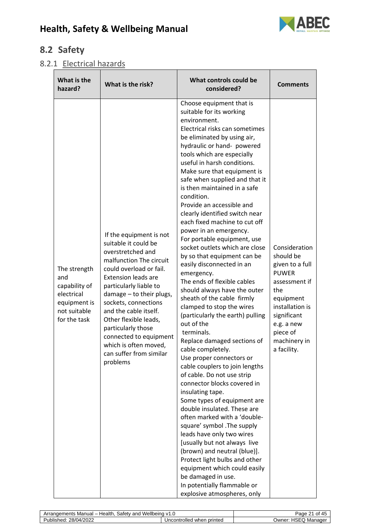

# <span id="page-20-0"></span>**8.2 Safety**

<span id="page-20-1"></span>8.2.1 Electrical hazards

| What is the<br>hazard?                                                                             | What is the risk?                                                                                                                                                                                                                                                                                                                                                                                        | What controls could be<br>considered?                                                                                                                                                                                                                                                                                                                                                                                                                                                                                                                                                                                                                                                                                                                                                                                                                                                                                                                                                                                                                                                                                                                                                                                                                                                                                                                                                            | <b>Comments</b>                                                                                                                                                                               |
|----------------------------------------------------------------------------------------------------|----------------------------------------------------------------------------------------------------------------------------------------------------------------------------------------------------------------------------------------------------------------------------------------------------------------------------------------------------------------------------------------------------------|--------------------------------------------------------------------------------------------------------------------------------------------------------------------------------------------------------------------------------------------------------------------------------------------------------------------------------------------------------------------------------------------------------------------------------------------------------------------------------------------------------------------------------------------------------------------------------------------------------------------------------------------------------------------------------------------------------------------------------------------------------------------------------------------------------------------------------------------------------------------------------------------------------------------------------------------------------------------------------------------------------------------------------------------------------------------------------------------------------------------------------------------------------------------------------------------------------------------------------------------------------------------------------------------------------------------------------------------------------------------------------------------------|-----------------------------------------------------------------------------------------------------------------------------------------------------------------------------------------------|
| The strength<br>and<br>capability of<br>electrical<br>equipment is<br>not suitable<br>for the task | If the equipment is not<br>suitable it could be<br>overstretched and<br>malfunction The circuit<br>could overload or fail.<br><b>Extension leads are</b><br>particularly liable to<br>damage - to their plugs,<br>sockets, connections<br>and the cable itself.<br>Other flexible leads,<br>particularly those<br>connected to equipment<br>which is often moved,<br>can suffer from similar<br>problems | Choose equipment that is<br>suitable for its working<br>environment.<br>Electrical risks can sometimes<br>be eliminated by using air,<br>hydraulic or hand- powered<br>tools which are especially<br>useful in harsh conditions.<br>Make sure that equipment is<br>safe when supplied and that it<br>is then maintained in a safe<br>condition.<br>Provide an accessible and<br>clearly identified switch near<br>each fixed machine to cut off<br>power in an emergency.<br>For portable equipment, use<br>socket outlets which are close<br>by so that equipment can be<br>easily disconnected in an<br>emergency.<br>The ends of flexible cables<br>should always have the outer<br>sheath of the cable firmly<br>clamped to stop the wires<br>(particularly the earth) pulling<br>out of the<br>terminals.<br>Replace damaged sections of<br>cable completely.<br>Use proper connectors or<br>cable couplers to join lengths<br>of cable. Do not use strip<br>connector blocks covered in<br>insulating tape.<br>Some types of equipment are<br>double insulated. These are<br>often marked with a 'double-<br>square' symbol . The supply<br>leads have only two wires<br>[usually but not always live<br>(brown) and neutral (blue)].<br>Protect light bulbs and other<br>equipment which could easily<br>be damaged in use.<br>In potentially flammable or<br>explosive atmospheres, only | Consideration<br>should be<br>given to a full<br><b>PUWER</b><br>assessment if<br>the<br>equipment<br>installation is<br>significant<br>e.g. a new<br>piece of<br>machinery in<br>a facility. |

| Wellbeing<br>Чеаlth.<br>$\cdot$<br>------<br>Manual –<br>anc<br>oatet∨د<br>nents<br>– Arrano∈<br>ن ا |                                         | Οt<br>ade                        |
|------------------------------------------------------------------------------------------------------|-----------------------------------------|----------------------------------|
| <br>/2022<br>28/0<br>Published:<br>. וומוי                                                           | printed<br>-----<br>wher<br>icontrolled | <b>HSEC</b><br>⊃wner:<br>Manager |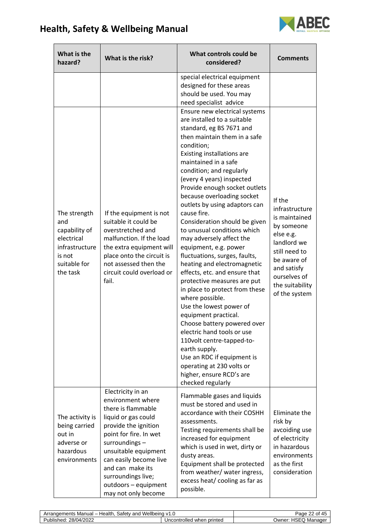

| What is the<br>hazard?                                                                                     | What is the risk?                                                                                                                                                                                                                                                            | What controls could be<br>considered?                                                                                                                                                                                                                                                                                                                                                                                                                                                                                                                                                                                                                                                                                                                                                                                                                                                                                                                                                                                                                                     | <b>Comments</b>                                                                                                                                                                        |
|------------------------------------------------------------------------------------------------------------|------------------------------------------------------------------------------------------------------------------------------------------------------------------------------------------------------------------------------------------------------------------------------|---------------------------------------------------------------------------------------------------------------------------------------------------------------------------------------------------------------------------------------------------------------------------------------------------------------------------------------------------------------------------------------------------------------------------------------------------------------------------------------------------------------------------------------------------------------------------------------------------------------------------------------------------------------------------------------------------------------------------------------------------------------------------------------------------------------------------------------------------------------------------------------------------------------------------------------------------------------------------------------------------------------------------------------------------------------------------|----------------------------------------------------------------------------------------------------------------------------------------------------------------------------------------|
| The strength<br>and<br>capability of<br>electrical<br>infrastructure<br>is not<br>suitable for<br>the task | If the equipment is not<br>suitable it could be<br>overstretched and<br>malfunction. If the load<br>the extra equipment will<br>place onto the circuit is<br>not assessed then the<br>circuit could overload or<br>fail.<br>Electricity in an                                | special electrical equipment<br>designed for these areas<br>should be used. You may<br>need specialist advice<br>Ensure new electrical systems<br>are installed to a suitable<br>standard, eg BS 7671 and<br>then maintain them in a safe<br>condition;<br>Existing installations are<br>maintained in a safe<br>condition; and regularly<br>(every 4 years) inspected<br>Provide enough socket outlets<br>because overloading socket<br>outlets by using adaptors can<br>cause fire.<br>Consideration should be given<br>to unusual conditions which<br>may adversely affect the<br>equipment, e.g. power<br>fluctuations, surges, faults,<br>heating and electromagnetic<br>effects, etc. and ensure that<br>protective measures are put<br>in place to protect from these<br>where possible.<br>Use the lowest power of<br>equipment practical.<br>Choose battery powered over<br>electric hand tools or use<br>110volt centre-tapped-to-<br>earth supply.<br>Use an RDC if equipment is<br>operating at 230 volts or<br>higher, ensure RCD's are<br>checked regularly | If the<br>infrastructure<br>is maintained<br>by someone<br>else e.g.<br>landlord we<br>still need to<br>be aware of<br>and satisfy<br>ourselves of<br>the suitability<br>of the system |
| The activity is<br>being carried<br>out in<br>adverse or<br>hazardous<br>environments                      | environment where<br>there is flammable<br>liquid or gas could<br>provide the ignition<br>point for fire. In wet<br>surroundings-<br>unsuitable equipment<br>can easily become live<br>and can make its<br>surroundings live;<br>outdoors - equipment<br>may not only become | Flammable gases and liquids<br>must be stored and used in<br>accordance with their COSHH<br>assessments.<br>Testing requirements shall be<br>increased for equipment<br>which is used in wet, dirty or<br>dusty areas.<br>Equipment shall be protected<br>from weather/ water ingress,<br>excess heat/cooling as far as<br>possible.                                                                                                                                                                                                                                                                                                                                                                                                                                                                                                                                                                                                                                                                                                                                      | Eliminate the<br>risk by<br>avcoiding use<br>of electricity<br>in hazardous<br>environments<br>as the first<br>consideration                                                           |

| Wellbeing<br>Health<br>۔ atetvت<br>Manual –<br>– Arr≏<br>$max = 1$<br>and<br>≅ments<br>ange | ں. ا                                   | $\sim$<br>age                                    |
|---------------------------------------------------------------------------------------------|----------------------------------------|--------------------------------------------------|
| 28/04/2022<br><br>-<br>Publisi.<br>hed.<br>ے ے ں ۔'                                         | printed<br>trolled.<br>. wher<br>uncor | 10 <sup>o</sup><br>l<br>. Manager<br>`<br>æ<br>w |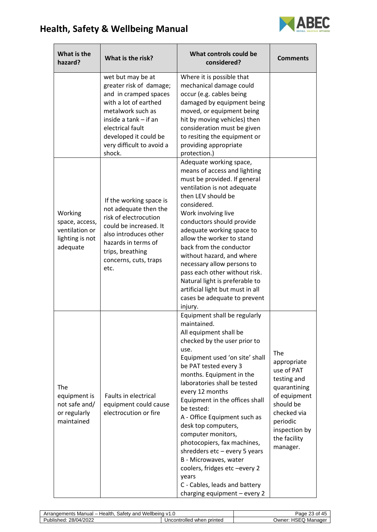

| What is the<br>hazard?                                                     | What is the risk?                                                                                                                                                                                                                | What controls could be<br>considered?                                                                                                                                                                                                                                                                                                                                                                                                                                                                                                                                                     | <b>Comments</b>                                                                                                                                                      |
|----------------------------------------------------------------------------|----------------------------------------------------------------------------------------------------------------------------------------------------------------------------------------------------------------------------------|-------------------------------------------------------------------------------------------------------------------------------------------------------------------------------------------------------------------------------------------------------------------------------------------------------------------------------------------------------------------------------------------------------------------------------------------------------------------------------------------------------------------------------------------------------------------------------------------|----------------------------------------------------------------------------------------------------------------------------------------------------------------------|
|                                                                            | wet but may be at<br>greater risk of damage;<br>and in cramped spaces<br>with a lot of earthed<br>metalwork such as<br>inside a tank - if an<br>electrical fault<br>developed it could be<br>very difficult to avoid a<br>shock. | Where it is possible that<br>mechanical damage could<br>occur (e.g. cables being<br>damaged by equipment being<br>moved, or equipment being<br>hit by moving vehicles) then<br>consideration must be given<br>to resiting the equipment or<br>providing appropriate<br>protection.)                                                                                                                                                                                                                                                                                                       |                                                                                                                                                                      |
| Working<br>space, access,<br>ventilation or<br>lighting is not<br>adequate | If the working space is<br>not adequate then the<br>risk of electrocution<br>could be increased. It<br>also introduces other<br>hazards in terms of<br>trips, breathing<br>concerns, cuts, traps<br>etc.                         | Adequate working space,<br>means of access and lighting<br>must be provided. If general<br>ventilation is not adequate<br>then LEV should be<br>considered.<br>Work involving live<br>conductors should provide<br>adequate working space to<br>allow the worker to stand<br>back from the conductor<br>without hazard, and where<br>necessary allow persons to<br>pass each other without risk.<br>Natural light is preferable to<br>artificial light but must in all<br>cases be adequate to prevent<br>injury.                                                                         |                                                                                                                                                                      |
| The<br>equipment is<br>not safe and/<br>or regularly<br>maintained         | Faults in electrical<br>equipment could cause<br>electrocution or fire                                                                                                                                                           | Equipment shall be regularly<br>maintained.<br>All equipment shall be<br>checked by the user prior to<br>use.<br>Equipment used 'on site' shall<br>be PAT tested every 3<br>months. Equipment in the<br>laboratories shall be tested<br>every 12 months<br>Equipment in the offices shall<br>be tested:<br>A - Office Equipment such as<br>desk top computers,<br>computer monitors,<br>photocopiers, fax machines,<br>shredders $etc$ – every 5 years<br>B - Microwaves, water<br>coolers, fridges etc-every 2<br>years<br>C - Cables, leads and battery<br>charging equipment - every 2 | The<br>appropriate<br>use of PAT<br>testing and<br>quarantining<br>of equipment<br>should be<br>checked via<br>periodic<br>inspection by<br>the facility<br>manager. |

| Wellbeina<br>Health<br>. Manual – '<br>۔ atetvت<br>and<br>Αľ<br>ients | $\cdot$<br>$\cdot$<br>טו             | റ്റ                       |
|-----------------------------------------------------------------------|--------------------------------------|---------------------------|
| A DOOG<br>78/04 <sub>/</sub><br>Published.<br>47 ZU ZZ                | printed<br>controlled<br>Jno<br>wher | ⊃wner:<br><b>IV</b><br>חר |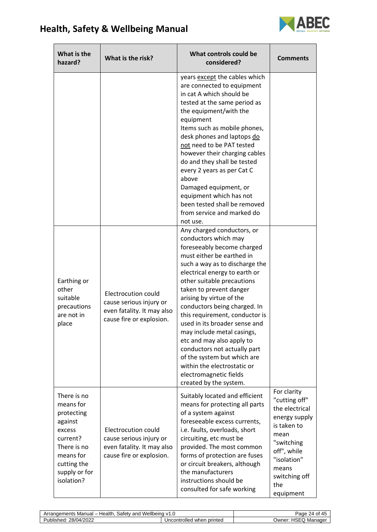

| What is the<br>hazard?                                                                                                                            | What is the risk?                                                                                               | What controls could be<br>considered?                                                                                                                                                                                                                                                                                                                                                                                                                                                                                                                                                 | <b>Comments</b>                                                                                                                                                                  |
|---------------------------------------------------------------------------------------------------------------------------------------------------|-----------------------------------------------------------------------------------------------------------------|---------------------------------------------------------------------------------------------------------------------------------------------------------------------------------------------------------------------------------------------------------------------------------------------------------------------------------------------------------------------------------------------------------------------------------------------------------------------------------------------------------------------------------------------------------------------------------------|----------------------------------------------------------------------------------------------------------------------------------------------------------------------------------|
|                                                                                                                                                   |                                                                                                                 | years except the cables which<br>are connected to equipment<br>in cat A which should be<br>tested at the same period as<br>the equipment/with the<br>equipment<br>Items such as mobile phones,<br>desk phones and laptops do<br>not need to be PAT tested<br>however their charging cables<br>do and they shall be tested<br>every 2 years as per Cat C<br>above<br>Damaged equipment, or<br>equipment which has not<br>been tested shall be removed<br>from service and marked do<br>not use.                                                                                        |                                                                                                                                                                                  |
| Earthing or<br>other<br>suitable<br>precautions<br>are not in<br>place                                                                            | <b>Electrocution could</b><br>cause serious injury or<br>even fatality. It may also<br>cause fire or explosion. | Any charged conductors, or<br>conductors which may<br>foreseeably become charged<br>must either be earthed in<br>such a way as to discharge the<br>electrical energy to earth or<br>other suitable precautions<br>taken to prevent danger<br>arising by virtue of the<br>conductors being charged. In<br>this requirement, conductor is<br>used in its broader sense and<br>may include metal casings,<br>etc and may also apply to<br>conductors not actually part<br>of the system but which are<br>within the electrostatic or<br>electromagnetic fields<br>created by the system. |                                                                                                                                                                                  |
| There is no<br>means for<br>protecting<br>against<br>excess<br>current?<br>There is no<br>means for<br>cutting the<br>supply or for<br>isolation? | Electrocution could<br>cause serious injury or<br>even fatality. It may also<br>cause fire or explosion.        | Suitably located and efficient<br>means for protecting all parts<br>of a system against<br>foreseeable excess currents,<br>i.e. faults, overloads, short<br>circuiting, etc must be<br>provided. The most common<br>forms of protection are fuses<br>or circuit breakers, although<br>the manufacturers<br>instructions should be<br>consulted for safe working                                                                                                                                                                                                                       | For clarity<br>"cutting off"<br>the electrical<br>energy supply<br>is taken to<br>mean<br>"switching<br>off", while<br>"isolation"<br>means<br>switching off<br>the<br>equipment |

| Wellbeing<br>Health.<br>. Manual – 1<br>۔atetyک<br>and<br>Arra | V1.U                            | Page<br>$\sim$                   |
|----------------------------------------------------------------|---------------------------------|----------------------------------|
| /2022<br>28/04/<br>'ublished:                                  | Uncontrolled<br>printed<br>when | . .<br>∪wner ∶<br>. Manager<br>. |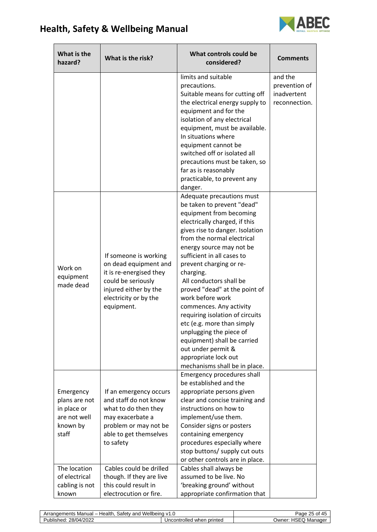

| What is the<br>hazard?                                                         | What is the risk?                                                                                                                                               | What controls could be<br>considered?                                                                                                                                                                                                                                                                                                                                                                                                                                                                                                                                                                       | <b>Comments</b>                                          |
|--------------------------------------------------------------------------------|-----------------------------------------------------------------------------------------------------------------------------------------------------------------|-------------------------------------------------------------------------------------------------------------------------------------------------------------------------------------------------------------------------------------------------------------------------------------------------------------------------------------------------------------------------------------------------------------------------------------------------------------------------------------------------------------------------------------------------------------------------------------------------------------|----------------------------------------------------------|
|                                                                                |                                                                                                                                                                 | limits and suitable<br>precautions.<br>Suitable means for cutting off<br>the electrical energy supply to<br>equipment and for the<br>isolation of any electrical<br>equipment, must be available.<br>In situations where<br>equipment cannot be<br>switched off or isolated all<br>precautions must be taken, so<br>far as is reasonably<br>practicable, to prevent any<br>danger.                                                                                                                                                                                                                          | and the<br>prevention of<br>inadvertent<br>reconnection. |
| Work on<br>equipment<br>made dead                                              | If someone is working<br>on dead equipment and<br>it is re-energised they<br>could be seriously<br>injured either by the<br>electricity or by the<br>equipment. | Adequate precautions must<br>be taken to prevent "dead"<br>equipment from becoming<br>electrically charged, if this<br>gives rise to danger. Isolation<br>from the normal electrical<br>energy source may not be<br>sufficient in all cases to<br>prevent charging or re-<br>charging.<br>All conductors shall be<br>proved "dead" at the point of<br>work before work<br>commences. Any activity<br>requiring isolation of circuits<br>etc (e.g. more than simply<br>unplugging the piece of<br>equipment) shall be carried<br>out under permit &<br>appropriate lock out<br>mechanisms shall be in place. |                                                          |
| Emergency<br>plans are not<br>in place or<br>are not well<br>known by<br>staff | If an emergency occurs<br>and staff do not know<br>what to do then they<br>may exacerbate a<br>problem or may not be<br>able to get themselves<br>to safety     | Emergency procedures shall<br>be established and the<br>appropriate persons given<br>clear and concise training and<br>instructions on how to<br>implement/use them.<br>Consider signs or posters<br>containing emergency<br>procedures especially where<br>stop buttons/ supply cut outs<br>or other controls are in place.                                                                                                                                                                                                                                                                                |                                                          |
| The location<br>of electrical<br>cabling is not<br>known                       | Cables could be drilled<br>though. If they are live<br>this could result in<br>electrocution or fire.                                                           | Cables shall always be<br>assumed to be live. No<br>'breaking ground' without<br>appropriate confirmation that                                                                                                                                                                                                                                                                                                                                                                                                                                                                                              |                                                          |

| Wellbeina<br>Health<br>Safetv<br>– Arr <i>e</i> r<br>Manual –<br>and<br>nents<br>.anger | . .<br>ں.                       | $\sim$<br>$\sim$<br>'aɑe<br>ںے |
|-----------------------------------------------------------------------------------------|---------------------------------|--------------------------------|
| 4/2022<br>28/04,<br>Published.                                                          | Uncontrolled<br>printed<br>when | HSE.<br>∪wner ∶<br>Manage<br>. |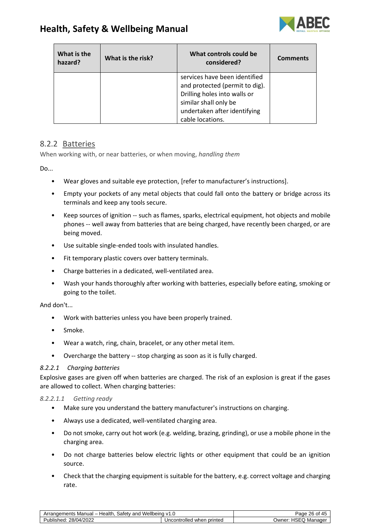



| What is the<br>hazard? | What is the risk? | What controls could be<br>considered?                                                                                                                                        | <b>Comments</b> |
|------------------------|-------------------|------------------------------------------------------------------------------------------------------------------------------------------------------------------------------|-----------------|
|                        |                   | services have been identified<br>and protected (permit to dig).<br>Drilling holes into walls or<br>similar shall only be<br>undertaken after identifying<br>cable locations. |                 |

#### <span id="page-25-0"></span>8.2.2 Batteries

<span id="page-25-1"></span>When working with, or near batteries, or when moving, *handling them* 

Do...

- Wear gloves and suitable eye protection, [refer to manufacturer's instructions].
- Empty your pockets of any metal objects that could fall onto the battery or bridge across its terminals and keep any tools secure.
- Keep sources of ignition -- such as flames, sparks, electrical equipment, hot objects and mobile phones -- well away from batteries that are being charged, have recently been charged, or are being moved.
- Use suitable single-ended tools with insulated handles.
- Fit temporary plastic covers over battery terminals.
- Charge batteries in a dedicated, well-ventilated area.
- Wash your hands thoroughly after working with batteries, especially before eating, smoking or going to the toilet.

And don't...

- Work with batteries unless you have been properly trained.
- Smoke.
- Wear a watch, ring, chain, bracelet, or any other metal item.
- Overcharge the battery -- stop charging as soon as it is fully charged.

#### <span id="page-25-2"></span>*8.2.2.1 Charging batteries*

Explosive gases are given off when batteries are charged. The risk of an explosion is great if the gases are allowed to collect. When charging batteries:

#### *8.2.2.1.1 Getting ready*

- <span id="page-25-3"></span>• Make sure you understand the battery manufacturer's instructions on charging.
- Always use a dedicated, well-ventilated charging area.
- Do not smoke, carry out hot work (e.g. welding, brazing, grinding), or use a mobile phone in the charging area.
- Do not charge batteries below electric lights or other equipment that could be an ignition source.
- Check that the charging equipment is suitable for the battery, e.g. correct voltage and charging rate.

| Wellbeina<br>Health<br>Manual –<br>satetv<br>and<br>Arrangements<br>ن ا |                                 | c.<br>'age<br>Οľ<br>26.           |
|-------------------------------------------------------------------------|---------------------------------|-----------------------------------|
| 28/04/2022<br>Published:<br>412022                                      | Uncontrolled<br>printed<br>when | 10T<br>Manager<br>⊃wner:<br>: יאר |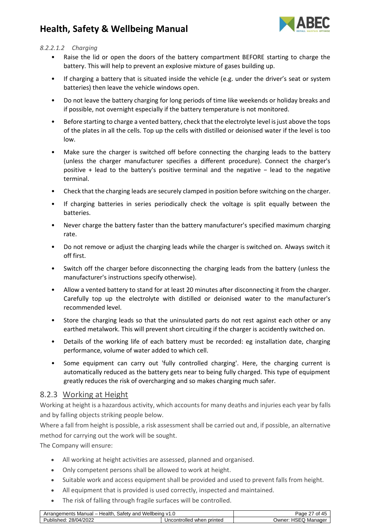

#### <span id="page-26-0"></span>*8.2.2.1.2 Charging*

- Raise the lid or open the doors of the battery compartment BEFORE starting to charge the battery. This will help to prevent an explosive mixture of gases building up.
- If charging a battery that is situated inside the vehicle (e.g. under the driver's seat or system batteries) then leave the vehicle windows open.
- Do not leave the battery charging for long periods of time like weekends or holiday breaks and if possible, not overnight especially if the battery temperature is not monitored.
- Before starting to charge a vented battery, check that the electrolyte level is just above the tops of the plates in all the cells. Top up the cells with distilled or deionised water if the level is too low.
- Make sure the charger is switched off before connecting the charging leads to the battery (unless the charger manufacturer specifies a different procedure). Connect the charger's positive + lead to the battery's positive terminal and the negative − lead to the negative terminal.
- Check that the charging leads are securely clamped in position before switching on the charger.
- If charging batteries in series periodically check the voltage is split equally between the batteries.
- Never charge the battery faster than the battery manufacturer's specified maximum charging rate.
- Do not remove or adjust the charging leads while the charger is switched on. Always switch it off first.
- Switch off the charger before disconnecting the charging leads from the battery (unless the manufacturer's instructions specify otherwise).
- Allow a vented battery to stand for at least 20 minutes after disconnecting it from the charger. Carefully top up the electrolyte with distilled or deionised water to the manufacturer's recommended level.
- Store the charging leads so that the uninsulated parts do not rest against each other or any earthed metalwork. This will prevent short circuiting if the charger is accidently switched on.
- Details of the working life of each battery must be recorded: eg installation date, charging performance, volume of water added to which cell.
- Some equipment can carry out 'fully controlled charging'. Here, the charging current is automatically reduced as the battery gets near to being fully charged. This type of equipment greatly reduces the risk of overcharging and so makes charging much safer.

#### <span id="page-26-1"></span>8.2.3 Working at Height

Working at height is a hazardous activity, which accounts for many deaths and injuries each year by falls and by falling objects striking people below.

Where a fall from height is possible, a risk assessment shall be carried out and, if possible, an alternative method for carrying out the work will be sought.

The Company will ensure:

- All working at height activities are assessed, planned and organised.
- Only competent persons shall be allowed to work at height.
- Suitable work and access equipment shall be provided and used to prevent falls from height.
- All equipment that is provided is used correctly, inspected and maintained.
- The risk of falling through fragile surfaces will be controlled.

| Wellbeina<br>Health.<br>Manual –<br>satetv<br>Arrangements<br>and | V1.0         | Page<br>∩t  |
|-------------------------------------------------------------------|--------------|-------------|
| 28/04/2022                                                        | ⊤printed     | <b>HSEQ</b> |
| $\cdots$                                                          | Uncontrolled | Manager     |
| Published:                                                        | when         | ⊃wner:      |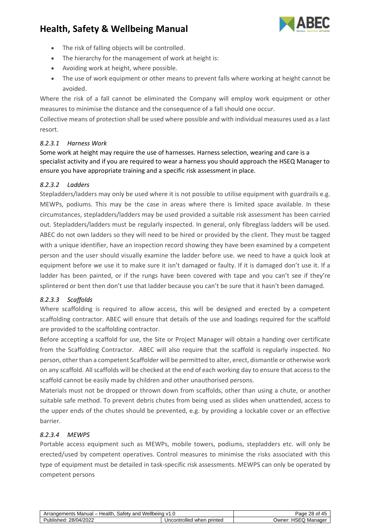

- The risk of falling objects will be controlled.
- The hierarchy for the management of work at height is:
- Avoiding work at height, where possible.
- The use of work equipment or other means to prevent falls where working at height cannot be avoided.

Where the risk of a fall cannot be eliminated the Company will employ work equipment or other measures to minimise the distance and the consequence of a fall should one occur.

Collective means of protection shall be used where possible and with individual measures used as a last resort.

#### <span id="page-27-0"></span>*8.2.3.1 Harness Work*

Some work at height may require the use of harnesses. Harness selection, wearing and care is a specialist activity and if you are required to wear a harness you should approach the HSEQ Manager to ensure you have appropriate training and a specific risk assessment in place.

#### <span id="page-27-1"></span>*8.2.3.2 Ladders*

Stepladders/ladders may only be used where it is not possible to utilise equipment with guardrails e.g. MEWPs, podiums. This may be the case in areas where there is limited space available. In these circumstances, stepladders/ladders may be used provided a suitable risk assessment has been carried out. Stepladders/ladders must be regularly inspected. In general, only fibreglass ladders will be used. ABEC do not own ladders so they will need to be hired or provided by the client. They must be tagged with a unique identifier, have an inspection record showing they have been examined by a competent person and the user should visually examine the ladder before use. we need to have a quick look at equipment before we use it to make sure it isn't damaged or faulty. If it is damaged don't use it. If a ladder has been painted, or if the rungs have been covered with tape and you can't see if they're splintered or bent then don't use that ladder because you can't be sure that it hasn't been damaged.

#### <span id="page-27-2"></span>*8.2.3.3 Scaffolds*

Where scaffolding is required to allow access, this will be designed and erected by a competent scaffolding contractor. ABEC will ensure that details of the use and loadings required for the scaffold are provided to the scaffolding contractor.

Before accepting a scaffold for use, the Site or Project Manager will obtain a handing over certificate from the Scaffolding Contractor. ABEC will also require that the scaffold is regularly inspected. No person, other than a competent Scaffolder will be permitted to alter, erect, dismantle or otherwise work on any scaffold. All scaffolds will be checked at the end of each working day to ensure that access to the scaffold cannot be easily made by children and other unauthorised persons.

Materials must not be dropped or thrown down from scaffolds, other than using a chute, or another suitable safe method. To prevent debris chutes from being used as slides when unattended, access to the upper ends of the chutes should be prevented, e.g. by providing a lockable cover or an effective barrier.

#### <span id="page-27-3"></span>*8.2.3.4 MEWPS*

Portable access equipment such as MEWPs, mobile towers, podiums, stepladders etc. will only be erected/used by competent operatives. Control measures to minimise the risks associated with this type of equipment must be detailed in task-specific risk assessments. MEWPS can only be operated by competent persons

| : Wellbeina<br>Health<br>Safetv<br>rranger.<br>and<br>Manual –<br>ıements | 1.V            | 28<br>Page<br>−∙ |
|---------------------------------------------------------------------------|----------------|------------------|
| 28/04/2022                                                                | rolled         | HSEQ             |
| $\cdots$                                                                  | ∣ when printed | Owner:           |
| Published:                                                                | Uncontr        | . Manager        |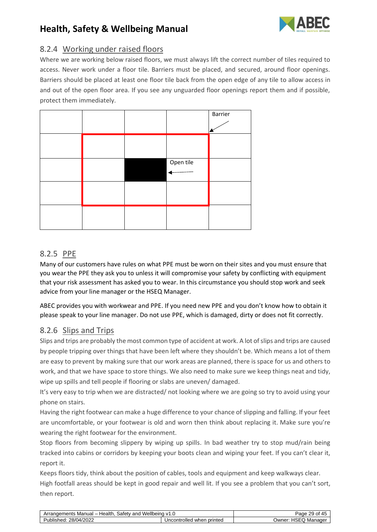

### <span id="page-28-0"></span>8.2.4 Working under raised floors

Where we are working below raised floors, we must always lift the correct number of tiles required to access. Never work under a floor tile. Barriers must be placed, and secured, around floor openings. Barriers should be placed at least one floor tile back from the open edge of any tile to allow access in and out of the open floor area. If you see any unguarded floor openings report them and if possible, protect them immediately.



### <span id="page-28-1"></span>8.2.5 PPE

Many of our customers have rules on what PPE must be worn on their sites and you must ensure that you wear the PPE they ask you to unless it will compromise your safety by conflicting with equipment that your risk assessment has asked you to wear. In this circumstance you should stop work and seek advice from your line manager or the HSEQ Manager.

ABEC provides you with workwear and PPE. If you need new PPE and you don't know how to obtain it please speak to your line manager. Do not use PPE, which is damaged, dirty or does not fit correctly.

### <span id="page-28-2"></span>8.2.6 Slips and Trips

Slips and trips are probably the most common type of accident at work. A lot of slips and trips are caused by people tripping over things that have been left where they shouldn't be. Which means a lot of them are easy to prevent by making sure that our work areas are planned, there is space for us and others to work, and that we have space to store things. We also need to make sure we keep things neat and tidy, wipe up spills and tell people if flooring or slabs are uneven/ damaged.

It's very easy to trip when we are distracted/ not looking where we are going so try to avoid using your phone on stairs.

Having the right footwear can make a huge difference to your chance of slipping and falling. If your feet are uncomfortable, or your footwear is old and worn then think about replacing it. Make sure you're wearing the right footwear for the environment.

Stop floors from becoming slippery by wiping up spills. In bad weather try to stop mud/rain being tracked into cabins or corridors by keeping your boots clean and wiping your feet. If you can't clear it, report it.

Keeps floors tidy, think about the position of cables, tools and equipment and keep walkways clear. High footfall areas should be kept in good repair and well lit. If you see a problem that you can't sort, then report.

| Wellbeing<br>Health.<br>$_{\rm A}$ rr $\epsilon$<br>Safet.<br>rangements<br>and<br>Manual –<br>יר | ററ<br>Page<br>Οt<br>∠⊃          |                                      |
|---------------------------------------------------------------------------------------------------|---------------------------------|--------------------------------------|
| $A/\Omega$ 4/2020<br>28/0<br>ublished:<br>2022<br>$\cdot$                                         | Uncontrolled<br>printed<br>when | HSE<br>∪wner:<br>Manage <sup>r</sup> |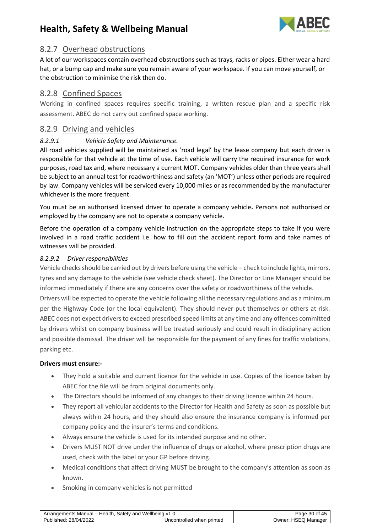

### <span id="page-29-0"></span>8.2.7 Overhead obstructions

A lot of our workspaces contain overhead obstructions such as trays, racks or pipes. Either wear a hard hat, or a bump cap and make sure you remain aware of your workspace. If you can move yourself, or the obstruction to minimise the risk then do.

### <span id="page-29-1"></span>8.2.8 Confined Spaces

Working in confined spaces requires specific training, a written rescue plan and a specific risk assessment. ABEC do not carry out confined space working.

### <span id="page-29-2"></span>8.2.9 Driving and vehicles

#### <span id="page-29-3"></span>*8.2.9.1 Vehicle Safety and Maintenance.*

All road vehicles supplied will be maintained as 'road legal' by the lease company but each driver is responsible for that vehicle at the time of use. Each vehicle will carry the required insurance for work purposes, road tax and, where necessary a current MOT. Company vehicles older than three years shall be subject to an annual test for roadworthiness and safety (an 'MOT') unless other periods are required by law. Company vehicles will be serviced every 10,000 miles or as recommended by the manufacturer whichever is the more frequent.

You must be an authorised licensed driver to operate a company vehicle**.** Persons not authorised or employed by the company are not to operate a company vehicle.

Before the operation of a company vehicle instruction on the appropriate steps to take if you were involved in a road traffic accident i.e. how to fill out the accident report form and take names of witnesses will be provided.

#### <span id="page-29-4"></span>*8.2.9.2 Driver responsibilities*

Vehicle checks should be carried out by drivers before using the vehicle – check to include lights, mirrors, tyres and any damage to the vehicle (see vehicle check sheet). The Director or Line Manager should be informed immediately if there are any concerns over the safety or roadworthiness of the vehicle.

Drivers will be expected to operate the vehicle following all the necessary regulations and as a minimum per the Highway Code (or the local equivalent). They should never put themselves or others at risk. ABEC does not expect drivers to exceed prescribed speed limits at any time and any offences committed by drivers whilst on company business will be treated seriously and could result in disciplinary action and possible dismissal. The driver will be responsible for the payment of any fines for traffic violations, parking etc.

#### **Drivers must ensure:-**

- They hold a suitable and current licence for the vehicle in use. Copies of the licence taken by ABEC for the file will be from original documents only.
- The Directors should be informed of any changes to their driving licence within 24 hours.
- They report all vehicular accidents to the Director for Health and Safety as soon as possible but always within 24 hours, and they should also ensure the insurance company is informed per company policy and the insurer's terms and conditions.
- Always ensure the vehicle is used for its intended purpose and no other.
- Drivers MUST NOT drive under the influence of drugs or alcohol, where prescription drugs are used, check with the label or your GP before driving.
- Medical conditions that affect driving MUST be brought to the company's attention as soon as known.
- Smoking in company vehicles is not permitted

| Wellbeina<br>Health.<br>satetv<br>Arrangements Manual – i<br>and<br>ີ ∨1.∪ |                                 | ∩t<br>Page<br>- OU<br>v<br>− →                |
|----------------------------------------------------------------------------|---------------------------------|-----------------------------------------------|
| 28/04/2022<br>Published:                                                   | printed<br>Uncontrolled<br>when | <b>HSE</b><br>. Manager<br>⊃wner <sup>.</sup> |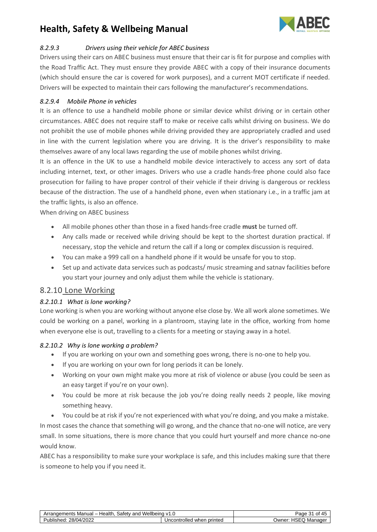

#### <span id="page-30-0"></span>*8.2.9.3 Drivers using their vehicle for ABEC business*

Drivers using their cars on ABEC business must ensure that their car is fit for purpose and complies with the Road Traffic Act. They must ensure they provide ABEC with a copy of their insurance documents (which should ensure the car is covered for work purposes), and a current MOT certificate if needed. Drivers will be expected to maintain their cars following the manufacturer's recommendations.

#### <span id="page-30-1"></span>*8.2.9.4 Mobile Phone in vehicles*

It is an offence to use a handheld mobile phone or similar device whilst driving or in certain other circumstances. ABEC does not require staff to make or receive calls whilst driving on business. We do not prohibit the use of mobile phones while driving provided they are appropriately cradled and used in line with the current legislation where you are driving. It is the driver's responsibility to make themselves aware of any local laws regarding the use of mobile phones whilst driving.

It is an offence in the UK to use a handheld mobile device interactively to access any sort of data including internet, text, or other images. Drivers who use a cradle hands-free phone could also face prosecution for failing to have proper control of their vehicle if their driving is dangerous or reckless because of the distraction. The use of a handheld phone, even when stationary i.e., in a traffic jam at the traffic lights, is also an offence.

When driving on ABEC business

- All mobile phones other than those in a fixed hands-free cradle **must** be turned off.
- Any calls made or received while driving should be kept to the shortest duration practical. If necessary, stop the vehicle and return the call if a long or complex discussion is required.
- You can make a 999 call on a handheld phone if it would be unsafe for you to stop.
- Set up and activate data services such as podcasts/ music streaming and satnav facilities before you start your journey and only adjust them while the vehicle is stationary.

#### <span id="page-30-2"></span>8.2.10 Lone Working

#### <span id="page-30-3"></span>*8.2.10.1 What is lone working?*

Lone working is when you are working without anyone else close by. We all work alone sometimes. We could be working on a panel, working in a plantroom, staying late in the office, working from home when everyone else is out, travelling to a clients for a meeting or staying away in a hotel.

#### <span id="page-30-4"></span>*8.2.10.2 Why is lone working a problem?*

- If you are working on your own and something goes wrong, there is no-one to help you.
- If you are working on your own for long periods it can be lonely.
- Working on your own might make you more at risk of violence or abuse (you could be seen as an easy target if you're on your own).
- You could be more at risk because the job you're doing really needs 2 people, like moving something heavy.
- You could be at risk if you're not experienced with what you're doing, and you make a mistake.

In most cases the chance that something will go wrong, and the chance that no-one will notice, are very small. In some situations, there is more chance that you could hurt yourself and more chance no-one would know.

ABEC has a responsibility to make sure your workplace is safe, and this includes making sure that there is someone to help you if you need it.

| ` Wellbeina<br>Health<br>Safetv<br>Arr <i>∈</i><br>. Manual<br>ements<br>and<br>ranger | Page<br>0t<br>$\sqrt{2}$<br>ີ<br>᠇ |                |
|----------------------------------------------------------------------------------------|------------------------------------|----------------|
| 28/04/2022                                                                             | Uncontrolled                       | ∪wner:         |
| 'ublished:                                                                             | ∣ when printed                     | . ISEQ Manager |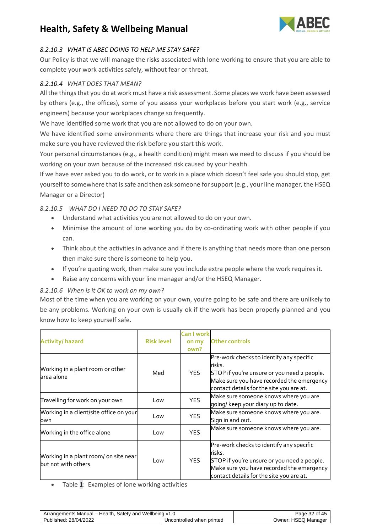

#### <span id="page-31-0"></span>*8.2.10.3 WHAT IS ABEC DOING TO HELP ME STAY SAFE?*

Our Policy is that we will manage the risks associated with lone working to ensure that you are able to complete your work activities safely, without fear or threat.

#### <span id="page-31-1"></span>*8.2.10.4 WHAT DOES THAT MEAN?*

All the things that you do at work must have a risk assessment. Some places we work have been assessed by others (e.g., the offices), some of you assess your workplaces before you start work (e.g., service engineers) because your workplaces change so frequently.

We have identified some work that you are not allowed to do on your own.

We have identified some environments where there are things that increase your risk and you must make sure you have reviewed the risk before you start this work.

Your personal circumstances (e.g., a health condition) might mean we need to discuss if you should be working on your own because of the increased risk caused by your health.

If we have ever asked you to do work, or to work in a place which doesn't feel safe you should stop, get yourself to somewhere that is safe and then ask someone for support (e.g., your line manager, the HSEQ Manager or a Director)

#### *8.2.10.5 WHAT DO I NEED TO DO TO STAY SAFE?*

- <span id="page-31-2"></span>• Understand what activities you are not allowed to do on your own.
- Minimise the amount of lone working you do by co-ordinating work with other people if you can.
- Think about the activities in advance and if there is anything that needs more than one person then make sure there is someone to help you.
- If you're quoting work, then make sure you include extra people where the work requires it.
- Raise any concerns with your line manager and/or the HSEQ Manager.

#### <span id="page-31-3"></span>*8.2.10.6 When is it OK to work on my own?*

Most of the time when you are working on your own, you're going to be safe and there are unlikely to be any problems. Working on your own is usually ok if the work has been properly planned and you know how to keep yourself safe.

| <b>Activity/hazard</b>                                       | <b>Risk level</b> | <b>Can I work</b><br>on my<br>own? | <b>Other controls</b>                                                                                                                                                                      |
|--------------------------------------------------------------|-------------------|------------------------------------|--------------------------------------------------------------------------------------------------------------------------------------------------------------------------------------------|
| Working in a plant room or other<br>area alone               | Med               | YES.                               | Pre-work checks to identify any specific<br>risks.<br>STOP if you're unsure or you need 2 people.<br>Make sure you have recorded the emergency<br>contact details for the site you are at. |
| Travelling for work on your own                              | Low               | <b>YES</b>                         | Make sure someone knows where you are<br>going/ keep your diary up to date.                                                                                                                |
| Working in a client/site office on your<br>own               | Low               | <b>YES</b>                         | Make sure someone knows where you are.<br>Sign in and out.                                                                                                                                 |
| Working in the office alone                                  | Low               | <b>YES</b>                         | Make sure someone knows where you are.                                                                                                                                                     |
| Working in a plant room/ on site near<br>but not with others | Low               | <b>YES</b>                         | Pre-work checks to identify any specific<br>risks.<br>STOP if you're unsure or you need 2 people.<br>Make sure you have recorded the emergency<br>contact details for the site you are at. |

Table 1: Examples of lone working activities

| Wellbeina<br>Health.<br>Safety<br>Arrangements<br>Manual –<br>∍and | 1.V                            | Page<br>Ωt<br>$\mathbf{u}$<br>-52<br>∸ |
|--------------------------------------------------------------------|--------------------------------|----------------------------------------|
| 28/04/2022<br>Published:                                           | Uncontrolled<br>∣ when printed | <b>HSEQ</b><br>Manader<br>Owner:       |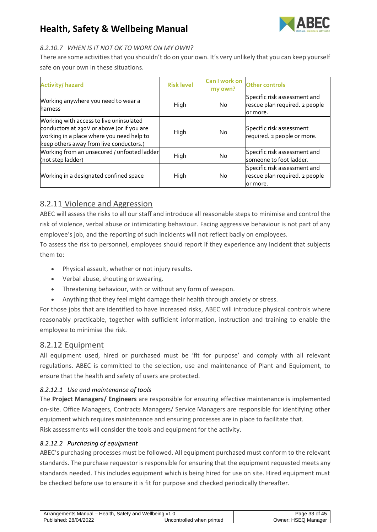

#### <span id="page-32-0"></span>*8.2.10.7 WHEN IS IT NOT OK TO WORK ON MY OWN?*

There are some activities that you shouldn't do on your own. It's very unlikely that you can keep yourself safe on your own in these situations.

| <b>Activity/hazard</b>                                                                                                                                                        | <b>Risk level</b> | Can I work on<br>my own? | <b>Other controls</b>                                                      |
|-------------------------------------------------------------------------------------------------------------------------------------------------------------------------------|-------------------|--------------------------|----------------------------------------------------------------------------|
| Working anywhere you need to wear a<br>harness                                                                                                                                | High              | No.                      | Specific risk assessment and<br>rescue plan required. 2 people<br>or more. |
| Working with access to live uninsulated<br>conductors at 230V or above (or if you are<br>working in a place where you need help to<br>keep others away from live conductors.) | High              | No.                      | Specific risk assessment<br>required. 2 people or more.                    |
| Working from an unsecured / unfooted ladder<br>(not step ladder)                                                                                                              | High              | No.                      | Specific risk assessment and<br>someone to foot ladder.                    |
| Working in a designated confined space                                                                                                                                        | High              | No.                      | Specific risk assessment and<br>rescue plan required. 2 people<br>or more. |

### <span id="page-32-1"></span>8.2.11 Violence and Aggression

ABEC will assess the risks to all our staff and introduce all reasonable steps to minimise and control the risk of violence, verbal abuse or intimidating behaviour. Facing aggressive behaviour is not part of any employee's job, and the reporting of such incidents will not reflect badly on employees.

To assess the risk to personnel, employees should report if they experience any incident that subjects them to:

- Physical assault, whether or not injury results.
- Verbal abuse, shouting or swearing.
- Threatening behaviour, with or without any form of weapon.
- Anything that they feel might damage their health through anxiety or stress.

For those jobs that are identified to have increased risks, ABEC will introduce physical controls where reasonably practicable, together with sufficient information, instruction and training to enable the employee to minimise the risk.

#### <span id="page-32-2"></span>8.2.12 Equipment

All equipment used, hired or purchased must be 'fit for purpose' and comply with all relevant regulations. ABEC is committed to the selection, use and maintenance of Plant and Equipment, to ensure that the health and safety of users are protected.

#### <span id="page-32-3"></span>*8.2.12.1 Use and maintenance of tools*

The **Project Managers/ Engineers** are responsible for ensuring effective maintenance is implemented on-site. Office Managers, Contracts Managers/ Service Managers are responsible for identifying other equipment which requires maintenance and ensuring processes are in place to facilitate that. Risk assessments will consider the tools and equipment for the activity.

#### <span id="page-32-4"></span>*8.2.12.2 Purchasing of equipment*

ABEC's purchasing processes must be followed. All equipment purchased must conform to the relevant standards. The purchase requestor is responsible for ensuring that the equipment requested meets any standards needed. This includes equipment which is being hired for use on site. Hired equipment must be checked before use to ensure it is fit for purpose and checked periodically thereafter.

| Wellbeing<br>$\ddot{\phantom{a}}$<br>Health.<br>Manual –<br>satetv<br>Arrangements<br>and | ^+<br>$\sim$<br>'aɑe<br>ີ<br>- 91     |                                          |
|-------------------------------------------------------------------------------------------|---------------------------------------|------------------------------------------|
| 28/04/2022<br>Published:                                                                  | olled.<br>printed<br>∪ncontr′<br>wnen | . HSF $\cap$<br>Jwner:<br>Manager<br>- 4 |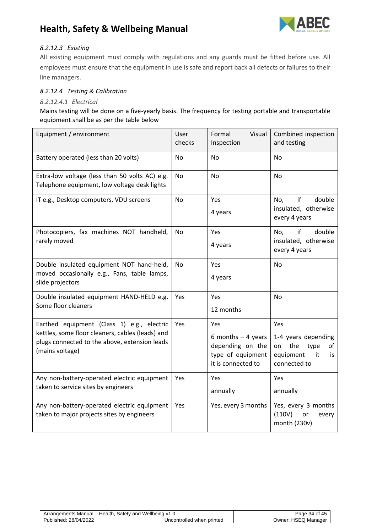

#### <span id="page-33-0"></span>*8.2.12.3 Existing*

All existing equipment must comply with regulations and any guards must be fitted before use. All employees must ensure that the equipment in use is safe and report back all defects or failures to their line managers.

#### <span id="page-33-1"></span>*8.2.12.4 Testing & Calibration*

#### <span id="page-33-2"></span>*8.2.12.4.1 Electrical*

Mains testing will be done on a five-yearly basis. The frequency for testing portable and transportable equipment shall be as per the table below

| Equipment / environment                                                                                              | User<br>checks | Visual<br>Formal<br>Inspection                                | Combined inspection<br>and testing                                      |
|----------------------------------------------------------------------------------------------------------------------|----------------|---------------------------------------------------------------|-------------------------------------------------------------------------|
| Battery operated (less than 20 volts)                                                                                | <b>No</b>      | <b>No</b>                                                     | <b>No</b>                                                               |
| Extra-low voltage (less than 50 volts AC) e.g.<br>Telephone equipment, low voltage desk lights                       | <b>No</b>      | <b>No</b>                                                     | <b>No</b>                                                               |
| IT e.g., Desktop computers, VDU screens                                                                              | No             | Yes                                                           | if<br>double<br>No,                                                     |
|                                                                                                                      |                | 4 years                                                       | insulated, otherwise<br>every 4 years                                   |
| Photocopiers, fax machines NOT handheld,                                                                             | No             | Yes                                                           | if<br>double<br>No,                                                     |
| rarely moved                                                                                                         |                | 4 years                                                       | insulated, otherwise<br>every 4 years                                   |
| Double insulated equipment NOT hand-held,                                                                            | No             | Yes                                                           | <b>No</b>                                                               |
| moved occasionally e.g., Fans, table lamps,<br>slide projectors                                                      |                | 4 years                                                       |                                                                         |
| Double insulated equipment HAND-HELD e.g.                                                                            | Yes            | Yes                                                           | <b>No</b>                                                               |
| Some floor cleaners                                                                                                  |                | 12 months                                                     |                                                                         |
| Earthed equipment (Class 1) e.g., electric                                                                           | Yes            | Yes                                                           | Yes                                                                     |
| kettles, some floor cleaners, cables (leads) and<br>plugs connected to the above, extension leads<br>(mains voltage) |                | 6 months $-$ 4 years<br>depending on the<br>type of equipment | 1-4 years depending<br>the<br>type<br>of<br>on<br>equipment<br>it<br>is |
|                                                                                                                      |                | it is connected to                                            | connected to                                                            |
| Any non-battery-operated electric equipment<br>taken to service sites by engineers                                   | Yes            | Yes                                                           | Yes                                                                     |
|                                                                                                                      |                | annually                                                      | annually                                                                |
| Any non-battery-operated electric equipment<br>taken to major projects sites by engineers                            | Yes            | Yes, every 3 months                                           | Yes, every 3 months<br>(110V)<br>or<br>every<br>month (230v)            |

| Wellbeing v1.0<br>Health.<br>Safety and<br>Arrangements<br>Manual – |                                   | Page<br>34<br>of 45    |
|---------------------------------------------------------------------|-----------------------------------|------------------------|
| 28/04/2022<br>Published:                                            | Uncontrolled<br>ı printed<br>when | HSEQ Manager<br>⊃wner: |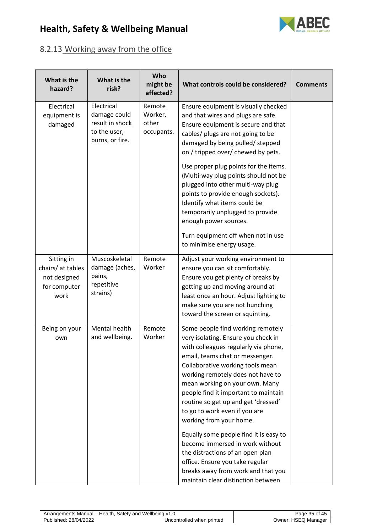

# <span id="page-34-0"></span>8.2.13 Working away from the office

| What is the<br>hazard?                                                  | What is the<br>risk?                                                             | Who<br>might be<br>affected?             | What controls could be considered?                                                                                                                                                                                                                                                                                                                                                                                                                                                                                                                                                                                                        | <b>Comments</b> |
|-------------------------------------------------------------------------|----------------------------------------------------------------------------------|------------------------------------------|-------------------------------------------------------------------------------------------------------------------------------------------------------------------------------------------------------------------------------------------------------------------------------------------------------------------------------------------------------------------------------------------------------------------------------------------------------------------------------------------------------------------------------------------------------------------------------------------------------------------------------------------|-----------------|
| Electrical<br>equipment is<br>damaged                                   | Electrical<br>damage could<br>result in shock<br>to the user,<br>burns, or fire. | Remote<br>Worker,<br>other<br>occupants. | Ensure equipment is visually checked<br>and that wires and plugs are safe.<br>Ensure equipment is secure and that<br>cables/ plugs are not going to be<br>damaged by being pulled/ stepped<br>on / tripped over/ chewed by pets.<br>Use proper plug points for the items.<br>(Multi-way plug points should not be<br>plugged into other multi-way plug<br>points to provide enough sockets).<br>Identify what items could be<br>temporarily unplugged to provide<br>enough power sources.<br>Turn equipment off when not in use<br>to minimise energy usage.                                                                              |                 |
| Sitting in<br>chairs/ at tables<br>not designed<br>for computer<br>work | Muscoskeletal<br>damage (aches,<br>pains,<br>repetitive<br>strains)              | Remote<br>Worker                         | Adjust your working environment to<br>ensure you can sit comfortably.<br>Ensure you get plenty of breaks by<br>getting up and moving around at<br>least once an hour. Adjust lighting to<br>make sure you are not hunching<br>toward the screen or squinting.                                                                                                                                                                                                                                                                                                                                                                             |                 |
| Being on your<br>own                                                    | Mental health<br>and wellbeing.                                                  | Remote<br>Worker                         | Some people find working remotely<br>very isolating. Ensure you check in<br>with colleagues regularly via phone,<br>email, teams chat or messenger.<br>Collaborative working tools mean<br>working remotely does not have to<br>mean working on your own. Many<br>people find it important to maintain<br>routine so get up and get 'dressed'<br>to go to work even if you are<br>working from your home.<br>Equally some people find it is easy to<br>become immersed in work without<br>the distractions of an open plan<br>office. Ensure you take regular<br>breaks away from work and that you<br>maintain clear distinction between |                 |

| . .<br>Health.<br>----<br>Manual –<br>Wellbeing<br>ments<br>and<br>satety.<br>. ווס וור | $\sim$ $-$<br>du<br>.<br>ີ<br>–™ |           |
|-----------------------------------------------------------------------------------------|----------------------------------|-----------|
| 28/04/                                                                                  | printed                          | ∪wner:    |
| ےے02"^`                                                                                 | `rolleo                          | · Manade. |
| 'ublis                                                                                  | ' Jncont.                        | 15F       |
| hed:                                                                                    | wher                             | .         |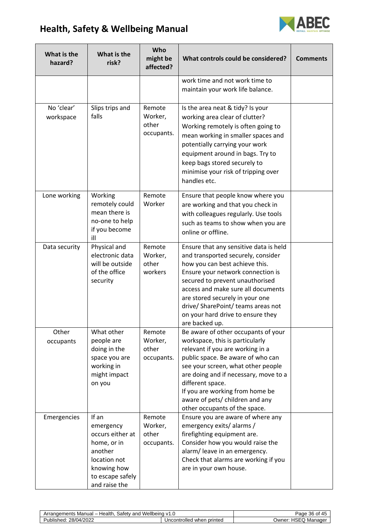

| What is the<br>hazard?  | What is the<br>risk?                                                                                                                 | Who<br>might be<br>affected?             | What controls could be considered?                                                                                                                                                                                                                                                                                                                           | <b>Comments</b> |
|-------------------------|--------------------------------------------------------------------------------------------------------------------------------------|------------------------------------------|--------------------------------------------------------------------------------------------------------------------------------------------------------------------------------------------------------------------------------------------------------------------------------------------------------------------------------------------------------------|-----------------|
|                         |                                                                                                                                      |                                          | work time and not work time to<br>maintain your work life balance.                                                                                                                                                                                                                                                                                           |                 |
| No 'clear'<br>workspace | Slips trips and<br>falls                                                                                                             | Remote<br>Worker,<br>other<br>occupants. | Is the area neat & tidy? Is your<br>working area clear of clutter?<br>Working remotely is often going to<br>mean working in smaller spaces and<br>potentially carrying your work<br>equipment around in bags. Try to<br>keep bags stored securely to<br>minimise your risk of tripping over<br>handles etc.                                                  |                 |
| Lone working            | Working<br>remotely could<br>mean there is<br>no-one to help<br>if you become<br>ill                                                 | Remote<br>Worker                         | Ensure that people know where you<br>are working and that you check in<br>with colleagues regularly. Use tools<br>such as teams to show when you are<br>online or offline.                                                                                                                                                                                   |                 |
| Data security           | Physical and<br>electronic data<br>will be outside<br>of the office<br>security                                                      | Remote<br>Worker,<br>other<br>workers    | Ensure that any sensitive data is held<br>and transported securely, consider<br>how you can best achieve this.<br>Ensure your network connection is<br>secured to prevent unauthorised<br>access and make sure all documents<br>are stored securely in your one<br>drive/ SharePoint/ teams areas not<br>on your hard drive to ensure they<br>are backed up. |                 |
| Other<br>occupants      | What other<br>people are<br>doing in the<br>space you are<br>working in<br>might impact<br>on you                                    | Remote<br>Worker,<br>other<br>occupants. | Be aware of other occupants of your<br>workspace, this is particularly<br>relevant if you are working in a<br>public space. Be aware of who can<br>see your screen, what other people<br>are doing and if necessary, move to a<br>different space.<br>If you are working from home be<br>aware of pets/ children and any<br>other occupants of the space.    |                 |
| Emergencies             | If an<br>emergency<br>occurs either at<br>home, or in<br>another<br>location not<br>knowing how<br>to escape safely<br>and raise the | Remote<br>Worker,<br>other<br>occupants. | Ensure you are aware of where any<br>emergency exits/alarms/<br>firefighting equipment are.<br>Consider how you would raise the<br>alarm/ leave in an emergency.<br>Check that alarms are working if you<br>are in your own house.                                                                                                                           |                 |

| Wellbein<br>alth.<br>and<br>Manual –<br>.<br>aterد<br>nts<br>er<br>v<br>пe<br>\⊓ar<br>$\mathbf{u}$<br>ט. ו |                                         | 'ane<br>7۲.             |
|------------------------------------------------------------------------------------------------------------|-----------------------------------------|-------------------------|
| ,אי<br>.<br>ublis'<br>IИ<br>`nec<br>:UZZ                                                                   | olled.<br>printec<br>Jno<br>wher<br>ont | Jwner:<br>. Manage<br>∼ |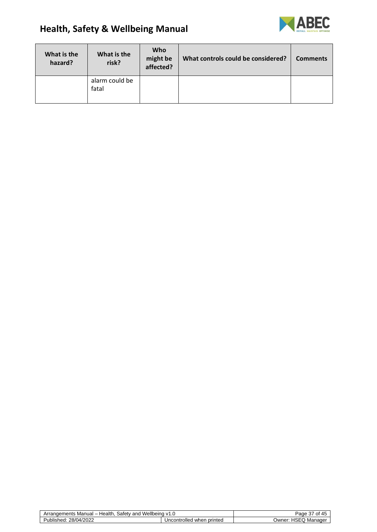

| What is the<br>hazard? | What is the<br>risk?    | Who<br>might be<br>affected? | What controls could be considered? | <b>Comments</b> |
|------------------------|-------------------------|------------------------------|------------------------------------|-----------------|
|                        | alarm could be<br>fatal |                              |                                    |                 |

| Wellbeing<br>Health.<br>Safety<br>Arrangements<br>. Manual –<br>∶and | ` v1.∪                          | $-$<br>Page<br>Οt<br>-45<br>ີບ≀ |
|----------------------------------------------------------------------|---------------------------------|---------------------------------|
| 28/04/2022<br>Published:                                             | Uncontrolled<br>printed<br>when | HSEQ Manager<br>⊃wner:          |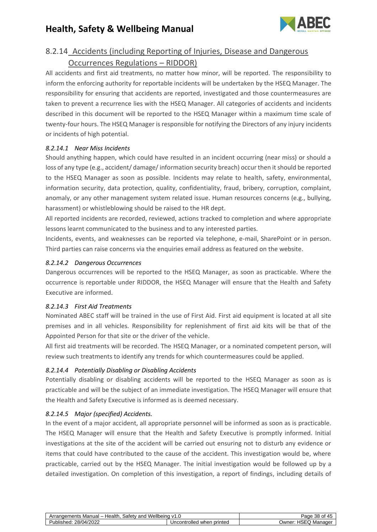

### 8.2.14 Accidents (including Reporting of Injuries, Disease and Dangerous

### <span id="page-37-0"></span>Occurrences Regulations – RIDDOR)

All accidents and first aid treatments, no matter how minor, will be reported. The responsibility to inform the enforcing authority for reportable incidents will be undertaken by the HSEQ Manager. The responsibility for ensuring that accidents are reported, investigated and those countermeasures are taken to prevent a recurrence lies with the HSEQ Manager. All categories of accidents and incidents described in this document will be reported to the HSEQ Manager within a maximum time scale of twenty-four hours. The HSEQ Manager is responsible for notifying the Directors of any injury incidents or incidents of high potential.

#### <span id="page-37-1"></span>*8.2.14.1 Near Miss Incidents*

Should anything happen, which could have resulted in an incident occurring (near miss) or should a loss of any type (e.g., accident/ damage/ information security breach) occur then it should be reported to the HSEQ Manager as soon as possible. Incidents may relate to health, safety, environmental, information security, data protection, quality, confidentiality, fraud, bribery, corruption, complaint, anomaly, or any other management system related issue. Human resources concerns (e.g., bullying, harassment) or whistleblowing should be raised to the HR dept.

All reported incidents are recorded, reviewed, actions tracked to completion and where appropriate lessons learnt communicated to the business and to any interested parties.

Incidents, events, and weaknesses can be reported via telephone, e-mail, SharePoint or in person. Third parties can raise concerns via the enquiries email address as featured on the website.

#### <span id="page-37-2"></span>*8.2.14.2 Dangerous Occurrences*

Dangerous occurrences will be reported to the HSEQ Manager, as soon as practicable. Where the occurrence is reportable under RIDDOR, the HSEQ Manager will ensure that the Health and Safety Executive are informed.

#### <span id="page-37-3"></span>*8.2.14.3 First Aid Treatments*

Nominated ABEC staff will be trained in the use of First Aid. First aid equipment is located at all site premises and in all vehicles. Responsibility for replenishment of first aid kits will be that of the Appointed Person for that site or the driver of the vehicle.

All first aid treatments will be recorded. The HSEQ Manager, or a nominated competent person, will review such treatments to identify any trends for which countermeasures could be applied.

#### <span id="page-37-4"></span>*8.2.14.4 Potentially Disabling or Disabling Accidents*

Potentially disabling or disabling accidents will be reported to the HSEQ Manager as soon as is practicable and will be the subject of an immediate investigation. The HSEQ Manager will ensure that the Health and Safety Executive is informed as is deemed necessary.

#### <span id="page-37-5"></span>*8.2.14.5 Major (specified) Accidents.*

In the event of a major accident, all appropriate personnel will be informed as soon as is practicable. The HSEQ Manager will ensure that the Health and Safety Executive is promptly informed. Initial investigations at the site of the accident will be carried out ensuring not to disturb any evidence or items that could have contributed to the cause of the accident. This investigation would be, where practicable, carried out by the HSEQ Manager. The initial investigation would be followed up by a detailed investigation. On completion of this investigation, a report of findings, including details of

| Wellbeing<br>Health<br>۔ atetvت<br>Arren<br>. Manual – 1<br>and<br>ranger<br>ments | .<br>$\mathbf{v}$<br>ن ا                   | . .<br>$\sim$<br>- -<br>aa<br>.<br>эc<br>.<br>∸., |
|------------------------------------------------------------------------------------|--------------------------------------------|---------------------------------------------------|
| 10000<br>28/0<br>Publisheg.<br>. 14<br><b>LULL</b>                                 | <br><b>Jncontrolled</b><br>printed<br>when | 10F<br>aader<br>⊃wner <sup>.</sup><br>Mar<br>15EU |
|                                                                                    |                                            |                                                   |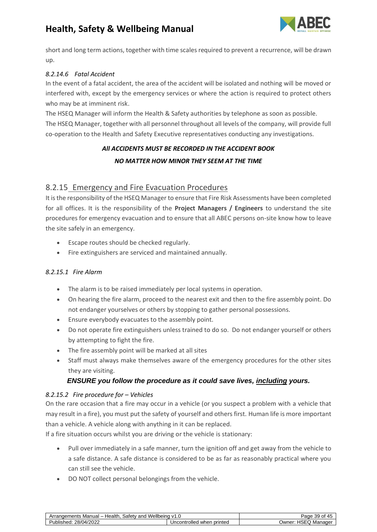

short and long term actions, together with time scales required to prevent a recurrence, will be drawn up.

#### <span id="page-38-0"></span>*8.2.14.6 Fatal Accident*

In the event of a fatal accident, the area of the accident will be isolated and nothing will be moved or interfered with, except by the emergency services or where the action is required to protect others who may be at imminent risk.

The HSEQ Manager will inform the Health & Safety authorities by telephone as soon as possible. The HSEQ Manager, together with all personnel throughout all levels of the company, will provide full co-operation to the Health and Safety Executive representatives conducting any investigations.

## *All ACCIDENTS MUST BE RECORDED IN THE ACCIDENT BOOK NO MATTER HOW MINOR THEY SEEM AT THE TIME*

#### <span id="page-38-1"></span>8.2.15 Emergency and Fire Evacuation Procedures

It is the responsibility of the HSEQ Manager to ensure that Fire Risk Assessments have been completed for all offices. It is the responsibility of the **Project Managers / Engineers** to understand the site procedures for emergency evacuation and to ensure that all ABEC persons on-site know how to leave the site safely in an emergency.

- Escape routes should be checked regularly.
- Fire extinguishers are serviced and maintained annually.

#### <span id="page-38-2"></span>*8.2.15.1 Fire Alarm*

- The alarm is to be raised immediately per local systems in operation.
- On hearing the fire alarm, proceed to the nearest exit and then to the fire assembly point. Do not endanger yourselves or others by stopping to gather personal possessions.
- Ensure everybody evacuates to the assembly point.
- Do not operate fire extinguishers unless trained to do so. Do not endanger yourself or others by attempting to fight the fire.
- The fire assembly point will be marked at all sites
- Staff must always make themselves aware of the emergency procedures for the other sites they are visiting.

#### *ENSURE you follow the procedure as it could save lives, including yours.*

#### <span id="page-38-3"></span>*8.2.15.2 Fire procedure for – Vehicles*

On the rare occasion that a fire may occur in a vehicle (or you suspect a problem with a vehicle that may result in a fire), you must put the safety of yourself and others first. Human life is more important than a vehicle. A vehicle along with anything in it can be replaced.

If a fire situation occurs whilst you are driving or the vehicle is stationary:

- Pull over immediately in a safe manner, turn the ignition off and get away from the vehicle to a safe distance. A safe distance is considered to be as far as reasonably practical where you can still see the vehicle.
- DO NOT collect personal belongings from the vehicle.

| Wellbeing<br>Health<br>Manual –<br>Arraı<br>ano<br>atetyٽ<br>ngements | $\mathbf{v}$ 1<br>ט. ו          | Page<br>$\mathbf{u}$<br>-39<br>O<br>∽⊷    |
|-----------------------------------------------------------------------|---------------------------------|-------------------------------------------|
| $\cdot$<br>1/2022<br>28/04/2<br>Publish<br>∵eneu.                     | Uncontrolled<br>printed<br>when | -- - -<br>$n^{\sim}$<br>Manager<br>∪wner: |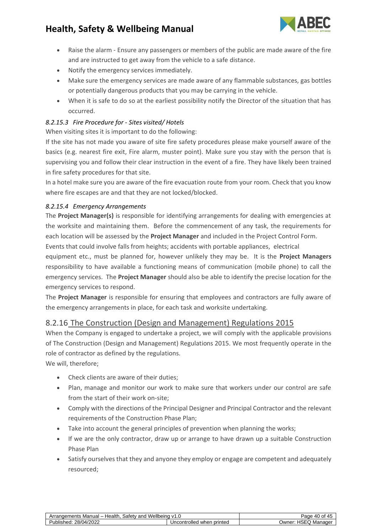

- Raise the alarm Ensure any passengers or members of the public are made aware of the fire and are instructed to get away from the vehicle to a safe distance.
- Notify the emergency services immediately.
- Make sure the emergency services are made aware of any flammable substances, gas bottles or potentially dangerous products that you may be carrying in the vehicle.
- When it is safe to do so at the earliest possibility notify the Director of the situation that has occurred.

#### <span id="page-39-0"></span>*8.2.15.3 Fire Procedure for - Sites visited/ Hotels*

When visiting sites it is important to do the following:

If the site has not made you aware of site fire safety procedures please make yourself aware of the basics (e.g. nearest fire exit, Fire alarm, muster point). Make sure you stay with the person that is supervising you and follow their clear instruction in the event of a fire. They have likely been trained in fire safety procedures for that site.

In a hotel make sure you are aware of the fire evacuation route from your room. Check that you know where fire escapes are and that they are not locked/blocked.

#### <span id="page-39-1"></span>*8.2.15.4 Emergency Arrangements*

The **Project Manager(s)** is responsible for identifying arrangements for dealing with emergencies at the worksite and maintaining them. Before the commencement of any task, the requirements for each location will be assessed by the **Project Manager** and included in the Project Control Form.

Events that could involve falls from heights; accidents with portable appliances, electrical

equipment etc., must be planned for, however unlikely they may be. It is the **Project Managers** responsibility to have available a functioning means of communication (mobile phone) to call the emergency services. The **Project Manager** should also be able to identify the precise location for the emergency services to respond.

The **Project Manager** is responsible for ensuring that employees and contractors are fully aware of the emergency arrangements in place, for each task and worksite undertaking.

### <span id="page-39-2"></span>8.2.16 The Construction (Design and Management) Regulations 2015

When the Company is engaged to undertake a project, we will comply with the applicable provisions of The Construction (Design and Management) Regulations 2015. We most frequently operate in the role of contractor as defined by the regulations.

We will, therefore;

- Check clients are aware of their duties;
- Plan, manage and monitor our work to make sure that workers under our control are safe from the start of their work on-site;
- Comply with the directions of the Principal Designer and Principal Contractor and the relevant requirements of the Construction Phase Plan;
- Take into account the general principles of prevention when planning the works;
- If we are the only contractor, draw up or arrange to have drawn up a suitable Construction Phase Plan
- Satisfy ourselves that they and anyone they employ or engage are competent and adequately resourced;

| ⊣ealth<br>Manual<br>and<br>Satet<br>ients<br>10 M<br>AL.                                   | Wellbeinc<br>$\cdots$<br>1.V              | . .<br>'aɑe<br>.<br>᠇៶              |
|--------------------------------------------------------------------------------------------|-------------------------------------------|-------------------------------------|
| A DOOG<br>$\sim$ $\sim$ $\sim$<br>$\cdots$<br>-<br>וו סר<br>Publisi.<br>OI.<br>uzz<br>IGU. | <br>าtrolled<br>printed<br>wher<br>Jncor. | 10F<br>nager<br>Jwner:<br>Mar<br>-- |
|                                                                                            |                                           |                                     |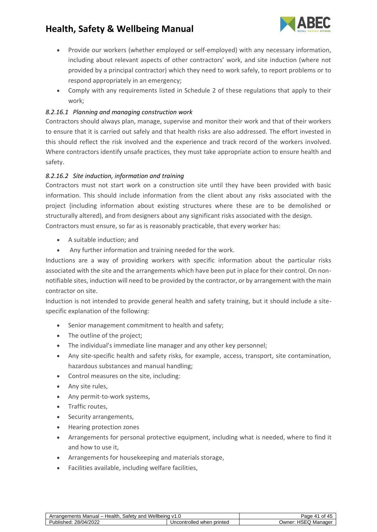

- Provide our workers (whether employed or self-employed) with any necessary information, including about relevant aspects of other contractors' work, and site induction (where not provided by a principal contractor) which they need to work safely, to report problems or to respond appropriately in an emergency;
- Comply with any requirements listed in Schedule 2 of these regulations that apply to their work;

#### <span id="page-40-0"></span>*8.2.16.1 Planning and managing construction work*

Contractors should always plan, manage, supervise and monitor their work and that of their workers to ensure that it is carried out safely and that health risks are also addressed. The effort invested in this should reflect the risk involved and the experience and track record of the workers involved. Where contractors identify unsafe practices, they must take appropriate action to ensure health and safety.

#### <span id="page-40-1"></span>*8.2.16.2 Site induction, information and training*

Contractors must not start work on a construction site until they have been provided with basic information. This should include information from the client about any risks associated with the project (including information about existing structures where these are to be demolished or structurally altered), and from designers about any significant risks associated with the design.

Contractors must ensure, so far as is reasonably practicable, that every worker has:

- A suitable induction; and
- Any further information and training needed for the work.

Inductions are a way of providing workers with specific information about the particular risks associated with the site and the arrangements which have been put in place for their control. On nonnotifiable sites, induction will need to be provided by the contractor, or by arrangement with the main contractor on site.

Induction is not intended to provide general health and safety training, but it should include a sitespecific explanation of the following:

- Senior management commitment to health and safety;
- The outline of the project;
- The individual's immediate line manager and any other key personnel;
- Any site-specific health and safety risks, for example, access, transport, site contamination, hazardous substances and manual handling;
- Control measures on the site, including:
- Any site rules,
- Any permit-to-work systems,
- Traffic routes,
- Security arrangements,
- Hearing protection zones
- Arrangements for personal protective equipment, including what is needed, where to find it and how to use it,
- Arrangements for housekeeping and materials storage,
- Facilities available, including welfare facilities,

| √ Wellbein<br>Iealth<br>۔ atetvت<br>Manual –<br>and<br><br>. .<br>ments<br>A <sub>1</sub><br>v<br>.u |          | <br>Ωt<br>au |
|------------------------------------------------------------------------------------------------------|----------|--------------|
|                                                                                                      | trolled. | <b>HSFC</b>  |
| 1.38/04/20                                                                                           | printec  | Jwner:       |
| Publis                                                                                               | - -      | nager        |
| hed.                                                                                                 | wher     | ма           |
| ے ے رہے '                                                                                            | Unconi.  | ີເພ          |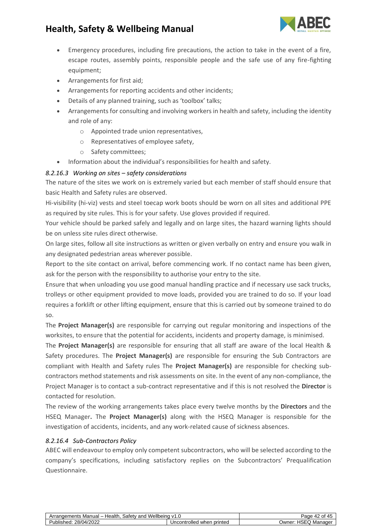

- Emergency procedures, including fire precautions, the action to take in the event of a fire, escape routes, assembly points, responsible people and the safe use of any fire-fighting equipment;
- Arrangements for first aid;
- Arrangements for reporting accidents and other incidents;
- Details of any planned training, such as 'toolbox' talks;
- Arrangements for consulting and involving workers in health and safety, including the identity and role of any:
	- o Appointed trade union representatives,
	- o Representatives of employee safety,
	- o Safety committees;
- Information about the individual's responsibilities for health and safety.

#### <span id="page-41-0"></span>*8.2.16.3 Working on sites – safety considerations*

The nature of the sites we work on is extremely varied but each member of staff should ensure that basic Health and Safety rules are observed.

Hi-visibility (hi-viz) vests and steel toecap work boots should be worn on all sites and additional PPE as required by site rules. This is for your safety. Use gloves provided if required.

Your vehicle should be parked safely and legally and on large sites, the hazard warning lights should be on unless site rules direct otherwise.

On large sites, follow all site instructions as written or given verbally on entry and ensure you walk in any designated pedestrian areas wherever possible.

Report to the site contact on arrival, before commencing work. If no contact name has been given, ask for the person with the responsibility to authorise your entry to the site.

Ensure that when unloading you use good manual handling practice and if necessary use sack trucks, trolleys or other equipment provided to move loads, provided you are trained to do so. If your load requires a forklift or other lifting equipment, ensure that this is carried out by someone trained to do so.

The **Project Manager(s)** are responsible for carrying out regular monitoring and inspections of the worksites, to ensure that the potential for accidents, incidents and property damage, is minimised.

The **Project Manager(s)** are responsible for ensuring that all staff are aware of the local Health & Safety procedures. The **Project Manager(s)** are responsible for ensuring the Sub Contractors are compliant with Health and Safety rules The **Project Manager(s)** are responsible for checking subcontractors method statements and risk assessments on site. In the event of any non-compliance, the Project Manager is to contact a sub-contract representative and if this is not resolved the **Director** is contacted for resolution.

The review of the working arrangements takes place every twelve months by the **Directors** and the HSEQ Manager**.** The **Project Manager(s)** along with the HSEQ Manager is responsible for the investigation of accidents, incidents, and any work-related cause of sickness absences.

#### <span id="page-41-1"></span>*8.2.16.4 Sub-Contractors Policy*

ABEC will endeavour to employ only competent subcontractors, who will be selected according to the company's specifications, including satisfactory replies on the Subcontractors' Prequalification Questionnaire.

| Health.<br>۔atetvد<br>Manual<br>and<br>'Arr<br>aements<br>-- | Wellbeina<br>ن ا                                  | . .<br>Page<br>4.<br>−      |
|--------------------------------------------------------------|---------------------------------------------------|-----------------------------|
| A IONOS<br>28/0<br>Published.<br>۵Δ<br>wzz                   | when printed<br>المدالة مناسبة من<br>Uncontrolled | $\sim$<br>Manager<br>⊃wner: |
|                                                              |                                                   |                             |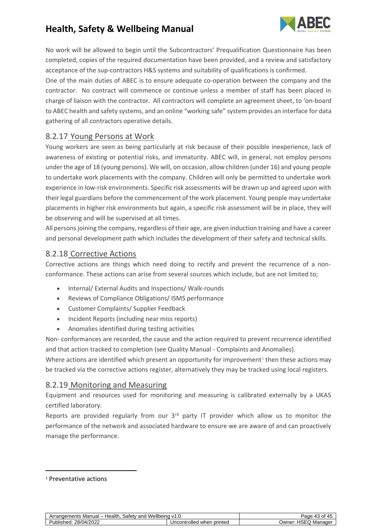

No work will be allowed to begin until the Subcontractors' Prequalification Questionnaire has been completed, copies of the required documentation have been provided, and a review and satisfactory acceptance of the sup-contractors H&S systems and suitability of qualifications is confirmed.

One of the main duties of ABEC is to ensure adequate co-operation between the company and the contractor. No contract will commence or continue unless a member of staff has been placed in charge of liaison with the contractor. All contractors will complete an agreement sheet, to 'on-board to ABEC health and safety systems, and an online "working safe" system provides an interface for data gathering of all contractors operative details.

### <span id="page-42-0"></span>8.2.17 Young Persons at Work

Young workers are seen as being particularly at risk because of their possible inexperience, lack of awareness of existing or potential risks, and immaturity. ABEC will, in general, not employ persons under the age of 18 (young persons). We will, on occasion, allow children (under 16) and young people to undertake work placements with the company. Children will only be permitted to undertake work experience in low-risk environments. Specific risk assessments will be drawn up and agreed upon with their legal guardians before the commencement of the work placement. Young people may undertake placements in higher risk environments but again, a specific risk assessment will be in place, they will be observing and will be supervised at all times.

All persons joining the company, regardless of their age, are given induction training and have a career and personal development path which includes the development of their safety and technical skills.

#### <span id="page-42-1"></span>8.2.18 Corrective Actions

Corrective actions are things which need doing to rectify and prevent the recurrence of a nonconformance. These actions can arise from several sources which include, but are not limited to;

- Internal/ External Audits and Inspections/ Walk-rounds
- Reviews of Compliance Obligations/ ISMS performance
- Customer Complaints/ Supplier Feedback
- Incident Reports (including near miss reports)
- Anomalies identified during testing activities

Non- conformances are recorded, the cause and the action required to prevent recurrence identified and that action tracked to completion (see Quality Manual - Complaints and Anomalies).

Where actions are identified which present an opportunity for improvement<sup>1</sup> then these actions may be tracked via the corrective actions register, alternatively they may be tracked using local registers.

#### <span id="page-42-2"></span>8.2.19 Monitoring and Measuring

Equipment and resources used for monitoring and measuring is calibrated externally by a UKAS certified laboratory.

Reports are provided regularly from our 3<sup>rd</sup> party IT provider which allow us to monitor the performance of the network and associated hardware to ensure we are aware of and can proactively manage the performance.

| Arrangements Manual – Health, Safety and Wellbeing v1.0 |                           | Page 43 of 45       |
|---------------------------------------------------------|---------------------------|---------------------|
| Published: 28/04/2022                                   | Uncontrolled when printed | Owner: HSEQ Manager |

<sup>1</sup> Preventative actions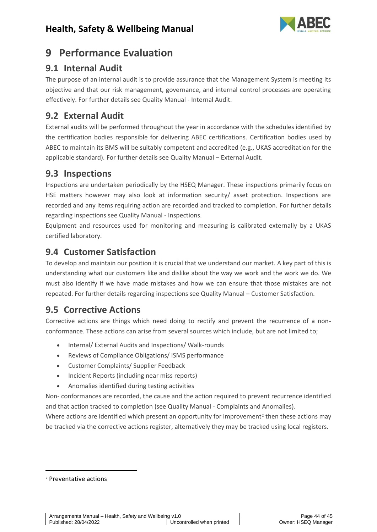

# <span id="page-43-0"></span>**9 Performance Evaluation**

## <span id="page-43-1"></span>**9.1 Internal Audit**

The purpose of an internal audit is to provide assurance that the Management System is meeting its objective and that our risk management, governance, and internal control processes are operating effectively. For further details see Quality Manual - Internal Audit.

# <span id="page-43-2"></span>**9.2 External Audit**

External audits will be performed throughout the year in accordance with the schedules identified by the certification bodies responsible for delivering ABEC certifications. Certification bodies used by ABEC to maintain its BMS will be suitably competent and accredited (e.g., UKAS accreditation for the applicable standard). For further details see Quality Manual – External Audit.

# <span id="page-43-3"></span>**9.3 Inspections**

Inspections are undertaken periodically by the HSEQ Manager. These inspections primarily focus on HSE matters however may also look at information security/ asset protection. Inspections are recorded and any items requiring action are recorded and tracked to completion. For further details regarding inspections see Quality Manual - Inspections.

Equipment and resources used for monitoring and measuring is calibrated externally by a UKAS certified laboratory.

## <span id="page-43-4"></span>**9.4 Customer Satisfaction**

To develop and maintain our position it is crucial that we understand our market. A key part of this is understanding what our customers like and dislike about the way we work and the work we do. We must also identify if we have made mistakes and how we can ensure that those mistakes are not repeated. For further details regarding inspections see Quality Manual – Customer Satisfaction.

# <span id="page-43-5"></span>**9.5 Corrective Actions**

Corrective actions are things which need doing to rectify and prevent the recurrence of a nonconformance. These actions can arise from several sources which include, but are not limited to;

- Internal/ External Audits and Inspections/ Walk-rounds
- Reviews of Compliance Obligations/ ISMS performance
- Customer Complaints/ Supplier Feedback
- Incident Reports (including near miss reports)
- Anomalies identified during testing activities

Non- conformances are recorded, the cause and the action required to prevent recurrence identified and that action tracked to completion (see Quality Manual - Complaints and Anomalies).

Where actions are identified which present an opportunity for improvement<sup>2</sup> then these actions may be tracked via the corrective actions register, alternatively they may be tracked using local registers.

| Safety and Wellbeing v1<br>Health.<br>Arrangements Manual – . | ٦.υ                       | ot.<br>Page<br>AА<br>$\mathbf{A}$<br>∽ |
|---------------------------------------------------------------|---------------------------|----------------------------------------|
| 28/04/2022<br>Published:                                      | Uncontrolled when printed | . HSEQ Manager<br>⊃wner:               |

<sup>2</sup> Preventative actions